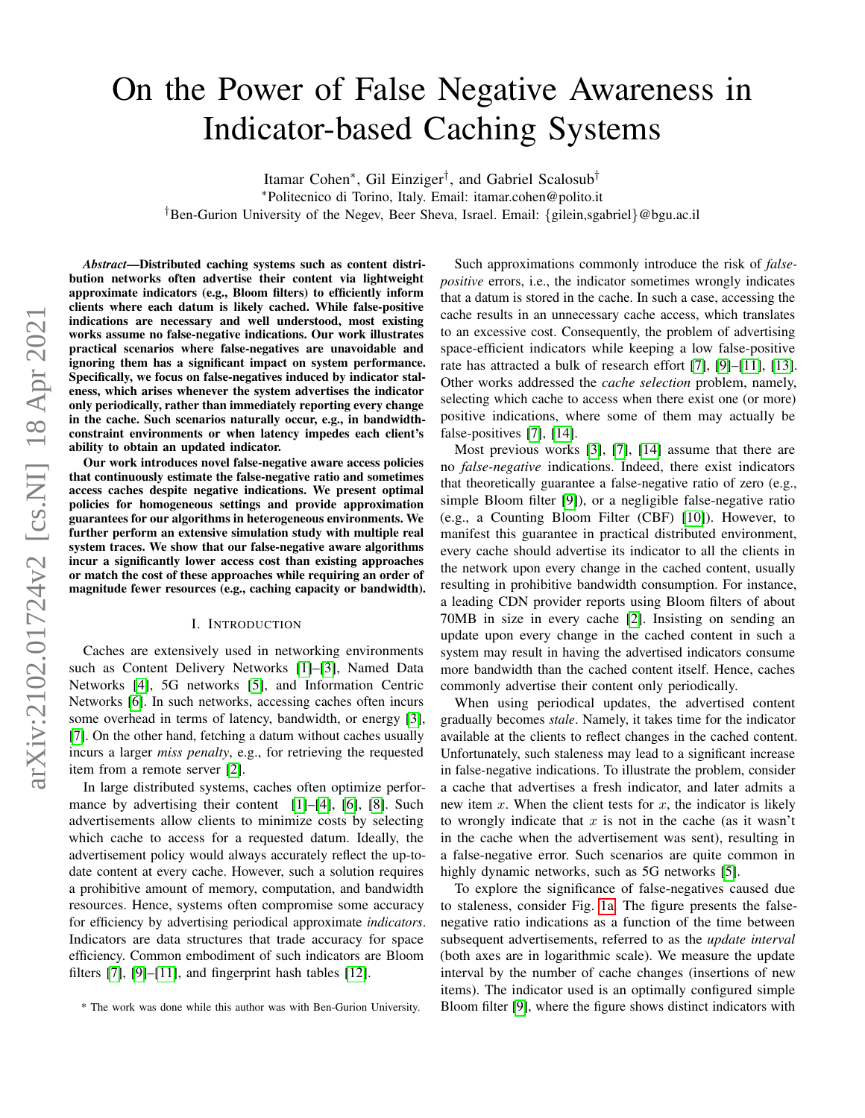# On the Power of False Negative Awareness in Indicator-based Caching Systems

Itamar Cohen<sup>∗</sup> , Gil Einziger† , and Gabriel Scalosub† <sup>∗</sup>Politecnico di Torino, Italy. Email: itamar.cohen@polito.it †Ben-Gurion University of the Negev, Beer Sheva, Israel. Email: {gilein,sgabriel}@bgu.ac.il

arXiv:2102.01724v2 [cs.NI] 18 Apr 2021 arXiv:2102.01724v2 [cs.NI] 18 Apr 2021

*Abstract*—Distributed caching systems such as content distribution networks often advertise their content via lightweight approximate indicators (e.g., Bloom filters) to efficiently inform clients where each datum is likely cached. While false-positive indications are necessary and well understood, most existing works assume no false-negative indications. Our work illustrates practical scenarios where false-negatives are unavoidable and ignoring them has a significant impact on system performance. Specifically, we focus on false-negatives induced by indicator staleness, which arises whenever the system advertises the indicator only periodically, rather than immediately reporting every change in the cache. Such scenarios naturally occur, e.g., in bandwidthconstraint environments or when latency impedes each client's ability to obtain an updated indicator.

Our work introduces novel false-negative aware access policies that continuously estimate the false-negative ratio and sometimes access caches despite negative indications. We present optimal policies for homogeneous settings and provide approximation guarantees for our algorithms in heterogeneous environments. We further perform an extensive simulation study with multiple real system traces. We show that our false-negative aware algorithms incur a significantly lower access cost than existing approaches or match the cost of these approaches while requiring an order of magnitude fewer resources (e.g., caching capacity or bandwidth).

#### I. INTRODUCTION

Caches are extensively used in networking environments such as Content Delivery Networks [\[1\]](#page-11-0)–[\[3\]](#page-11-1), Named Data Networks [\[4\]](#page-11-2), 5G networks [\[5\]](#page-11-3), and Information Centric Networks [\[6\]](#page-11-4). In such networks, accessing caches often incurs some overhead in terms of latency, bandwidth, or energy [\[3\]](#page-11-1), [\[7\]](#page-11-5). On the other hand, fetching a datum without caches usually incurs a larger *miss penalty*, e.g., for retrieving the requested item from a remote server [\[2\]](#page-11-6).

In large distributed systems, caches often optimize perfor-mance by advertising their content [\[1\]](#page-11-0)–[\[4\]](#page-11-2), [\[6\]](#page-11-4), [\[8\]](#page-11-7). Such advertisements allow clients to minimize costs by selecting which cache to access for a requested datum. Ideally, the advertisement policy would always accurately reflect the up-todate content at every cache. However, such a solution requires a prohibitive amount of memory, computation, and bandwidth resources. Hence, systems often compromise some accuracy for efficiency by advertising periodical approximate *indicators*. Indicators are data structures that trade accuracy for space efficiency. Common embodiment of such indicators are Bloom filters [\[7\]](#page-11-5), [\[9\]](#page-11-8)–[\[11\]](#page-11-9), and fingerprint hash tables [\[12\]](#page-11-10).

Such approximations commonly introduce the risk of *falsepositive* errors, i.e., the indicator sometimes wrongly indicates that a datum is stored in the cache. In such a case, accessing the cache results in an unnecessary cache access, which translates to an excessive cost. Consequently, the problem of advertising space-efficient indicators while keeping a low false-positive rate has attracted a bulk of research effort [\[7\]](#page-11-5), [\[9\]](#page-11-8)–[\[11\]](#page-11-9), [\[13\]](#page-11-11). Other works addressed the *cache selection* problem, namely, selecting which cache to access when there exist one (or more) positive indications, where some of them may actually be false-positives [\[7\]](#page-11-5), [\[14\]](#page-11-12).

Most previous works [\[3\]](#page-11-1), [\[7\]](#page-11-5), [\[14\]](#page-11-12) assume that there are no *false-negative* indications. Indeed, there exist indicators that theoretically guarantee a false-negative ratio of zero (e.g., simple Bloom filter [\[9\]](#page-11-8)), or a negligible false-negative ratio (e.g., a Counting Bloom Filter (CBF) [\[10\]](#page-11-13)). However, to manifest this guarantee in practical distributed environment, every cache should advertise its indicator to all the clients in the network upon every change in the cached content, usually resulting in prohibitive bandwidth consumption. For instance, a leading CDN provider reports using Bloom filters of about 70MB in size in every cache [\[2\]](#page-11-6). Insisting on sending an update upon every change in the cached content in such a system may result in having the advertised indicators consume more bandwidth than the cached content itself. Hence, caches commonly advertise their content only periodically.

When using periodical updates, the advertised content gradually becomes *stale*. Namely, it takes time for the indicator available at the clients to reflect changes in the cached content. Unfortunately, such staleness may lead to a significant increase in false-negative indications. To illustrate the problem, consider a cache that advertises a fresh indicator, and later admits a new item x. When the client tests for x, the indicator is likely to wrongly indicate that  $x$  is not in the cache (as it wasn't in the cache when the advertisement was sent), resulting in a false-negative error. Such scenarios are quite common in highly dynamic networks, such as 5G networks [\[5\]](#page-11-3).

To explore the significance of false-negatives caused due to staleness, consider Fig. [1a.](#page-1-0) The figure presents the falsenegative ratio indications as a function of the time between subsequent advertisements, referred to as the *update interval* (both axes are in logarithmic scale). We measure the update interval by the number of cache changes (insertions of new items). The indicator used is an optimally configured simple Bloom filter [\[9\]](#page-11-8), where the figure shows distinct indicators with

<sup>\*</sup> The work was done while this author was with Ben-Gurion University.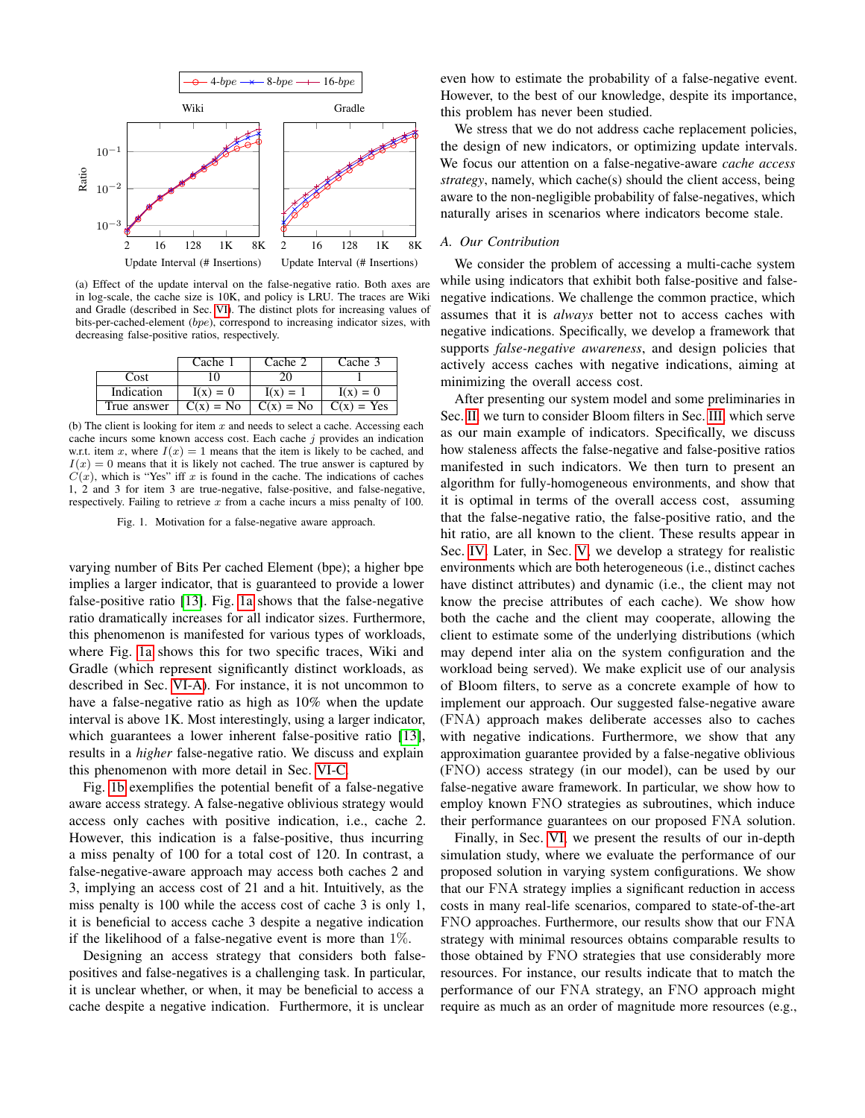<span id="page-1-0"></span>

(a) Effect of the update interval on the false-negative ratio. Both axes are in log-scale, the cache size is 10K, and policy is LRU. The traces are Wiki and Gradle (described in Sec. [VI\)](#page-7-0). The distinct plots for increasing values of bits-per-cached-element (bpe), correspond to increasing indicator sizes, with decreasing false-positive ratios, respectively.

<span id="page-1-1"></span>

|             | Cache 1     | Cache 2     | Cache 3            |
|-------------|-------------|-------------|--------------------|
| Cost        | UO.         |             |                    |
| Indication  | $I(x) = 0$  | $I(x) = 1$  | $I(x) = 0$         |
| True answer | $C(x) = No$ | $C(x) = No$ | $\vert$ C(x) = Yes |

(b) The client is looking for item  $x$  and needs to select a cache. Accessing each cache incurs some known access cost. Each cache  $j$  provides an indication w.r.t. item x, where  $I(x) = 1$  means that the item is likely to be cached, and  $I(x) = 0$  means that it is likely not cached. The true answer is captured by  $C(x)$ , which is "Yes" iff x is found in the cache. The indications of caches 1, 2 and 3 for item 3 are true-negative, false-positive, and false-negative, respectively. Failing to retrieve  $x$  from a cache incurs a miss penalty of 100.

Fig. 1. Motivation for a false-negative aware approach.

varying number of Bits Per cached Element (bpe); a higher bpe implies a larger indicator, that is guaranteed to provide a lower false-positive ratio [\[13\]](#page-11-11). Fig. [1a](#page-1-0) shows that the false-negative ratio dramatically increases for all indicator sizes. Furthermore, this phenomenon is manifested for various types of workloads, where Fig. [1a](#page-1-0) shows this for two specific traces, Wiki and Gradle (which represent significantly distinct workloads, as described in Sec. [VI-A\)](#page-8-0). For instance, it is not uncommon to have a false-negative ratio as high as 10% when the update interval is above 1K. Most interestingly, using a larger indicator, which guarantees a lower inherent false-positive ratio [\[13\]](#page-11-11), results in a *higher* false-negative ratio. We discuss and explain this phenomenon with more detail in Sec. [VI-C.](#page-9-0)

Fig. [1b](#page-1-1) exemplifies the potential benefit of a false-negative aware access strategy. A false-negative oblivious strategy would access only caches with positive indication, i.e., cache 2. However, this indication is a false-positive, thus incurring a miss penalty of 100 for a total cost of 120. In contrast, a false-negative-aware approach may access both caches 2 and 3, implying an access cost of 21 and a hit. Intuitively, as the miss penalty is 100 while the access cost of cache 3 is only 1, it is beneficial to access cache 3 despite a negative indication if the likelihood of a false-negative event is more than 1%.

Designing an access strategy that considers both falsepositives and false-negatives is a challenging task. In particular, it is unclear whether, or when, it may be beneficial to access a cache despite a negative indication. Furthermore, it is unclear

even how to estimate the probability of a false-negative event. However, to the best of our knowledge, despite its importance, this problem has never been studied.

We stress that we do not address cache replacement policies, the design of new indicators, or optimizing update intervals. We focus our attention on a false-negative-aware *cache access strategy*, namely, which cache(s) should the client access, being aware to the non-negligible probability of false-negatives, which naturally arises in scenarios where indicators become stale.

# *A. Our Contribution*

We consider the problem of accessing a multi-cache system while using indicators that exhibit both false-positive and falsenegative indications. We challenge the common practice, which assumes that it is *always* better not to access caches with negative indications. Specifically, we develop a framework that supports *false-negative awareness*, and design policies that actively access caches with negative indications, aiming at minimizing the overall access cost.

After presenting our system model and some preliminaries in Sec. [II,](#page-2-0) we turn to consider Bloom filters in Sec. [III,](#page-4-0) which serve as our main example of indicators. Specifically, we discuss how staleness affects the false-negative and false-positive ratios manifested in such indicators. We then turn to present an algorithm for fully-homogeneous environments, and show that it is optimal in terms of the overall access cost, assuming that the false-negative ratio, the false-positive ratio, and the hit ratio, are all known to the client. These results appear in Sec. [IV.](#page-4-1) Later, in Sec. [V,](#page-6-0) we develop a strategy for realistic environments which are both heterogeneous (i.e., distinct caches have distinct attributes) and dynamic (i.e., the client may not know the precise attributes of each cache). We show how both the cache and the client may cooperate, allowing the client to estimate some of the underlying distributions (which may depend inter alia on the system configuration and the workload being served). We make explicit use of our analysis of Bloom filters, to serve as a concrete example of how to implement our approach. Our suggested false-negative aware (FNA) approach makes deliberate accesses also to caches with negative indications. Furthermore, we show that any approximation guarantee provided by a false-negative oblivious (FNO) access strategy (in our model), can be used by our false-negative aware framework. In particular, we show how to employ known FNO strategies as subroutines, which induce their performance guarantees on our proposed FNA solution.

Finally, in Sec. [VI,](#page-7-0) we present the results of our in-depth simulation study, where we evaluate the performance of our proposed solution in varying system configurations. We show that our FNA strategy implies a significant reduction in access costs in many real-life scenarios, compared to state-of-the-art FNO approaches. Furthermore, our results show that our FNA strategy with minimal resources obtains comparable results to those obtained by FNO strategies that use considerably more resources. For instance, our results indicate that to match the performance of our FNA strategy, an FNO approach might require as much as an order of magnitude more resources (e.g.,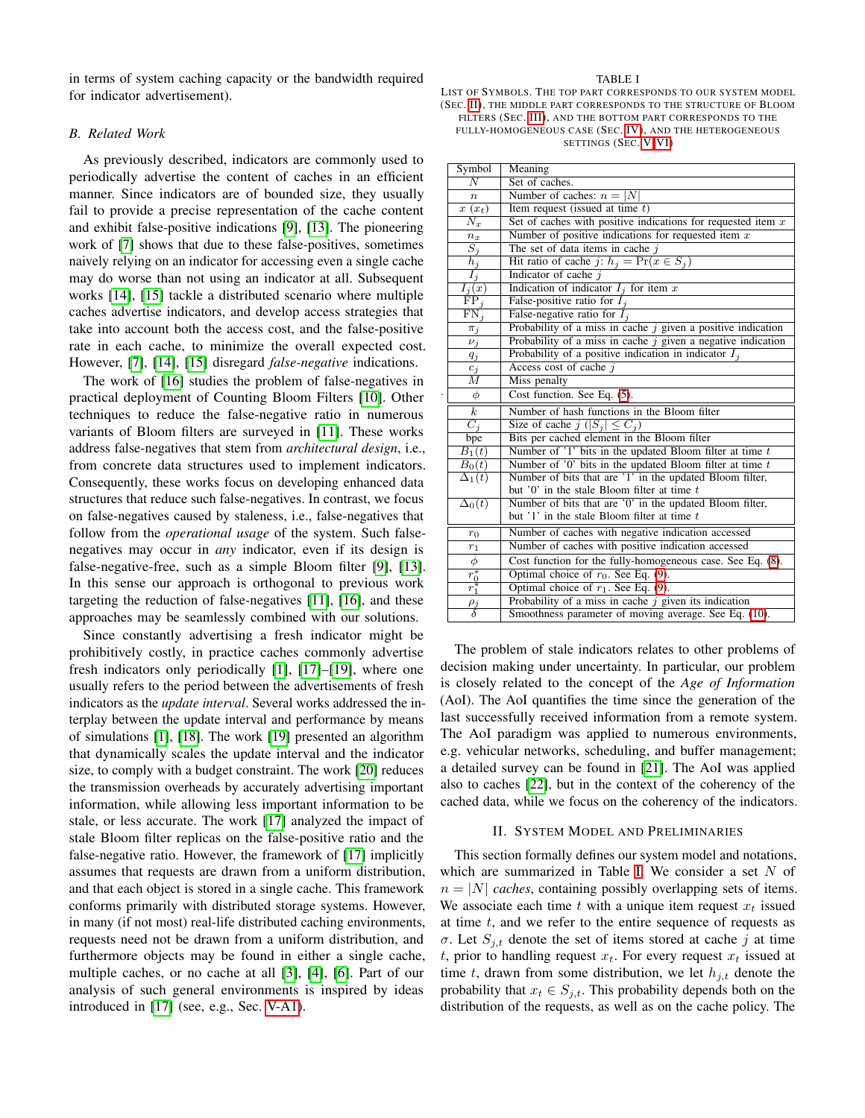in terms of system caching capacity or the bandwidth required for indicator advertisement).

# *B. Related Work*

As previously described, indicators are commonly used to periodically advertise the content of caches in an efficient manner. Since indicators are of bounded size, they usually fail to provide a precise representation of the cache content and exhibit false-positive indications [\[9\]](#page-11-8), [\[13\]](#page-11-11). The pioneering work of [\[7\]](#page-11-5) shows that due to these false-positives, sometimes naively relying on an indicator for accessing even a single cache may do worse than not using an indicator at all. Subsequent works [\[14\]](#page-11-12), [\[15\]](#page-11-14) tackle a distributed scenario where multiple caches advertise indicators, and develop access strategies that take into account both the access cost, and the false-positive rate in each cache, to minimize the overall expected cost. However, [\[7\]](#page-11-5), [\[14\]](#page-11-12), [\[15\]](#page-11-14) disregard *false-negative* indications.

The work of [\[16\]](#page-11-15) studies the problem of false-negatives in practical deployment of Counting Bloom Filters [\[10\]](#page-11-13). Other techniques to reduce the false-negative ratio in numerous variants of Bloom filters are surveyed in [\[11\]](#page-11-9). These works address false-negatives that stem from *architectural design*, i.e., from concrete data structures used to implement indicators. Consequently, these works focus on developing enhanced data structures that reduce such false-negatives. In contrast, we focus on false-negatives caused by staleness, i.e., false-negatives that follow from the *operational usage* of the system. Such falsenegatives may occur in *any* indicator, even if its design is false-negative-free, such as a simple Bloom filter [\[9\]](#page-11-8), [\[13\]](#page-11-11). In this sense our approach is orthogonal to previous work targeting the reduction of false-negatives [\[11\]](#page-11-9), [\[16\]](#page-11-15), and these approaches may be seamlessly combined with our solutions.

Since constantly advertising a fresh indicator might be prohibitively costly, in practice caches commonly advertise fresh indicators only periodically [\[1\]](#page-11-0), [\[17\]](#page-11-16)–[\[19\]](#page-11-17), where one usually refers to the period between the advertisements of fresh indicators as the *update interval*. Several works addressed the interplay between the update interval and performance by means of simulations [\[1\]](#page-11-0), [\[18\]](#page-11-18). The work [\[19\]](#page-11-17) presented an algorithm that dynamically scales the update interval and the indicator size, to comply with a budget constraint. The work [\[20\]](#page-11-19) reduces the transmission overheads by accurately advertising important information, while allowing less important information to be stale, or less accurate. The work [\[17\]](#page-11-16) analyzed the impact of stale Bloom filter replicas on the false-positive ratio and the false-negative ratio. However, the framework of [\[17\]](#page-11-16) implicitly assumes that requests are drawn from a uniform distribution, and that each object is stored in a single cache. This framework conforms primarily with distributed storage systems. However, in many (if not most) real-life distributed caching environments, requests need not be drawn from a uniform distribution, and furthermore objects may be found in either a single cache, multiple caches, or no cache at all [\[3\]](#page-11-1), [\[4\]](#page-11-2), [\[6\]](#page-11-4). Part of our analysis of such general environments is inspired by ideas introduced in [\[17\]](#page-11-16) (see, e.g., Sec. [V-A1\)](#page-6-1).

#### TABLE I

<span id="page-2-1"></span>LIST OF SYMBOLS. THE TOP PART CORRESPONDS TO OUR SYSTEM MODEL (SEC. [II\)](#page-2-0), THE MIDDLE PART CORRESPONDS TO THE STRUCTURE OF BLOOM FILTERS (SEC. [III\)](#page-4-0), AND THE BOTTOM PART CORRESPONDS TO THE FULLY-HOMOGENEOUS CASE (SEC. [IV\)](#page-4-1), AND THE HETEROGENEOUS SETTINGS (SEC. [V-](#page-6-0)[VI\)](#page-7-0)

| Symbol                  | Meaning                                                        |  |  |
|-------------------------|----------------------------------------------------------------|--|--|
| $\overline{N}$          | Set of caches.                                                 |  |  |
| $\boldsymbol{n}$        | Number of caches: $n =  N $                                    |  |  |
| $\overline{x(x_t)}$     | Item request (issued at time $t$ )                             |  |  |
| $N_x$                   | Set of caches with positive indications for requested item $x$ |  |  |
| $n_x$                   | Number of positive indications for requested item $x$          |  |  |
| $\overline{S_j}$        | The set of data items in cache $j$                             |  |  |
| $\bar{h}_j$             | Hit ratio of cache j: $h_i = \Pr(x \in S_i)$                   |  |  |
| $I_j$                   | Indicator of cache $j$                                         |  |  |
| $I_i(x)$                | Indication of indicator $I_i$ for item x                       |  |  |
| $\overline{FP_j}$       | False-positive ratio for $I_i$                                 |  |  |
| $FN_j$                  | False-negative ratio for $I_i$                                 |  |  |
| $\pi_j$                 | Probability of a miss in cache $j$ given a positive indication |  |  |
| $\nu_j$                 | Probability of a miss in cache $j$ given a negative indication |  |  |
| $q_j$                   | Probability of a positive indication in indicator $I_i$        |  |  |
| $c_j$                   | Access cost of cache j                                         |  |  |
| М                       | Miss penalty                                                   |  |  |
| $\phi$                  | Cost function. See Eq. (5).                                    |  |  |
| $\overline{k}$          | Number of hash functions in the Bloom filter                   |  |  |
| $\overline{C_i}$        | Size of cache $j$ $( S_j  \leq C_j)$                           |  |  |
| bpe                     | Bits per cached element in the Bloom filter                    |  |  |
| $B_1(t)$                | Number of $'1'$ bits in the updated Bloom filter at time $t$   |  |  |
| $B_0(t)$                | Number of $'0'$ bits in the updated Bloom filter at time $t$   |  |  |
| $\Delta_1(t)$           | Number of bits that are '1' in the updated Bloom filter,       |  |  |
|                         | but $'0'$ in the stale Bloom filter at time $t$                |  |  |
| $\Delta_0(t)$           | Number of bits that are '0' in the updated Bloom filter,       |  |  |
|                         | but $'1'$ in the stale Bloom filter at time $t$                |  |  |
| $r_0$                   | Number of caches with negative indication accessed             |  |  |
| $r_1$                   | Number of caches with positive indication accessed             |  |  |
| $\widehat{\phi}$        | Cost function for the fully-homogeneous case. See Eq. (8).     |  |  |
| $\frac{r_0^*}{r_1^*}$   | Optimal choice of $r_0$ . See Eq. (9).                         |  |  |
|                         | Optimal choice of $r_1$ . See Eq. (9).                         |  |  |
|                         | Probability of a miss in cache $j$ given its indication        |  |  |
| $\frac{\rho_j}{\delta}$ | Smoothness parameter of moving average. See Eq. (10).          |  |  |

.

The problem of stale indicators relates to other problems of decision making under uncertainty. In particular, our problem is closely related to the concept of the *Age of Information* (AoI). The AoI quantifies the time since the generation of the last successfully received information from a remote system. The AoI paradigm was applied to numerous environments, e.g. vehicular networks, scheduling, and buffer management; a detailed survey can be found in [\[21\]](#page-11-20). The AoI was applied also to caches [\[22\]](#page-11-21), but in the context of the coherency of the cached data, while we focus on the coherency of the indicators.

# II. SYSTEM MODEL AND PRELIMINARIES

<span id="page-2-0"></span>This section formally defines our system model and notations, which are summarized in Table [I.](#page-2-1) We consider a set  $N$  of  $n = |N|$  *caches*, containing possibly overlapping sets of items. We associate each time  $t$  with a unique item request  $x_t$  issued at time  $t$ , and we refer to the entire sequence of requests as σ. Let  $S_{i,t}$  denote the set of items stored at cache j at time t, prior to handling request  $x_t$ . For every request  $x_t$  issued at time t, drawn from some distribution, we let  $h_{j,t}$  denote the probability that  $x_t \in S_{j,t}$ . This probability depends both on the distribution of the requests, as well as on the cache policy. The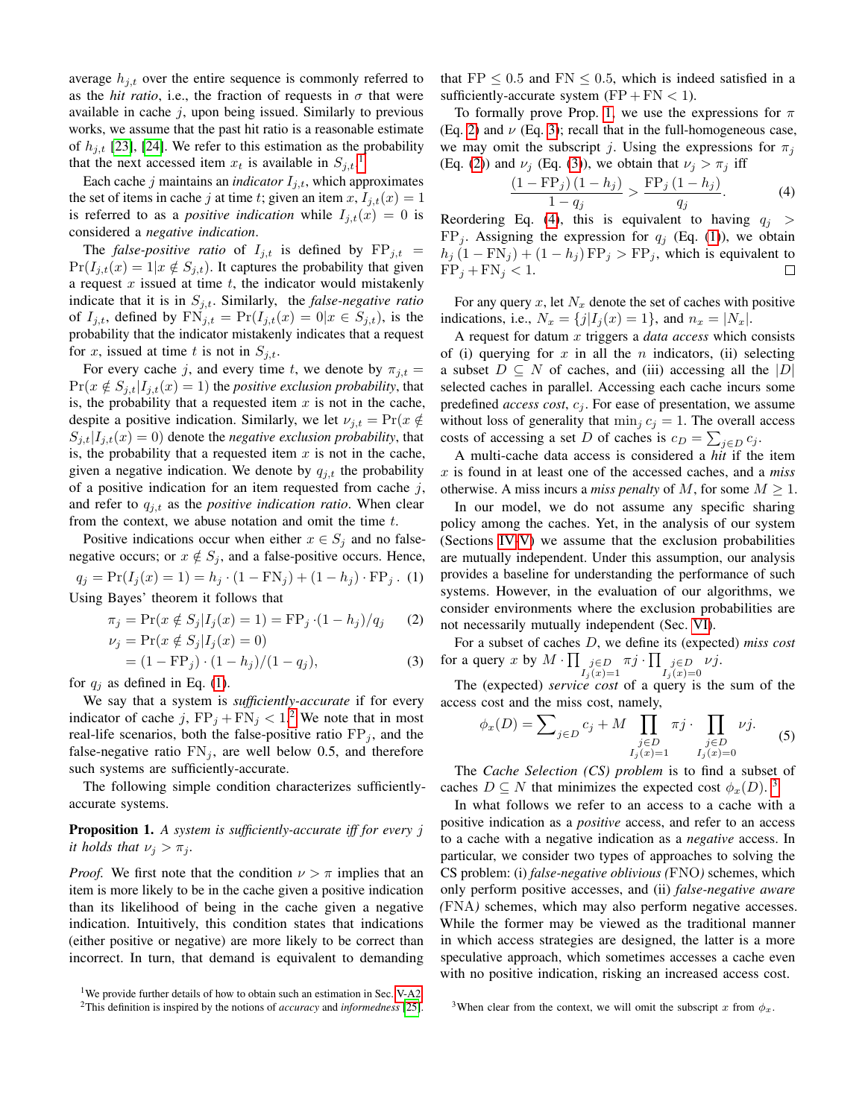average  $h_{j,t}$  over the entire sequence is commonly referred to as the *hit ratio*, i.e., the fraction of requests in  $\sigma$  that were available in cache  $j$ , upon being issued. Similarly to previous works, we assume that the past hit ratio is a reasonable estimate of  $h_{j,t}$  [\[23\]](#page-11-22), [\[24\]](#page-11-23). We refer to this estimation as the probability that the next accessed item  $x_t$  is available in  $S_{j,t}$ .<sup>[1](#page-3-1)</sup>

Each cache  $j$  maintains an *indicator*  $I_{i,t}$ , which approximates the set of items in cache j at time t; given an item x,  $I_{i,t}(x) = 1$ is referred to as a *positive indication* while  $I_{i,t}(x) = 0$  is considered a *negative indication*.

The *false-positive ratio* of  $I_{j,t}$  is defined by  $\text{FP}_{j,t}$  =  $Pr(I_{i,t}(x) = 1 | x \notin S_{i,t})$ . It captures the probability that given a request  $x$  issued at time  $t$ , the indicator would mistakenly indicate that it is in  $S_{j,t}$ . Similarly, the *false-negative ratio* of  $I_{j,t}$ , defined by  $\text{FN}_{j,t} = \Pr(I_{j,t}(x) = 0 | x \in S_{j,t})$ , is the probability that the indicator mistakenly indicates that a request for x, issued at time t is not in  $S_{j,t}$ .

For every cache j, and every time t, we denote by  $\pi_{j,t} =$  $Pr(x \notin S_{j,t}|I_{j,t}(x) = 1)$  the *positive exclusion probability*, that is, the probability that a requested item  $x$  is not in the cache, despite a positive indication. Similarly, we let  $\nu_{i,t} = \Pr(x \notin$  $S_{i,t}|I_{i,t}(x) = 0$  denote the *negative exclusion probability*, that is, the probability that a requested item  $x$  is not in the cache, given a negative indication. We denote by  $q_{j,t}$  the probability of a positive indication for an item requested from cache  $j$ , and refer to  $q_{j,t}$  as the *positive indication ratio*. When clear from the context, we abuse notation and omit the time  $t$ .

<span id="page-3-2"></span>Positive indications occur when either  $x \in S_i$  and no falsenegative occurs; or  $x \notin S_j$ , and a false-positive occurs. Hence,  $q_j = Pr(I_j(x) = 1) = h_j \cdot (1 - FN_j) + (1 - h_j) \cdot FP_j$ . (1) Using Bayes' theorem it follows that

$$
\pi_j = \Pr(x \notin S_j | I_j(x) = 1) = \text{FP}_j \cdot (1 - h_j) / q_j \tag{2}
$$

$$
\nu_j = \Pr(x \notin S_j | I_j(x) = 0) \n= (1 - \text{FP}_j) \cdot (1 - h_j)/(1 - q_j),
$$
\n(3)

for  $q_i$  as defined in Eq. [\(1\)](#page-3-2).

We say that a system is *sufficiently-accurate* if for every indicator of cache j,  $FP_j + FN_j < 1.2$  $FP_j + FN_j < 1.2$  We note that in most real-life scenarios, both the false-positive ratio  $FP_j$ , and the false-negative ratio  $FN_j$ , are well below 0.5, and therefore such systems are sufficiently-accurate.

The following simple condition characterizes sufficientlyaccurate systems.

# <span id="page-3-4"></span>Proposition 1. *A system is sufficiently-accurate iff for every* j *it holds that*  $\nu_i > \pi_i$ *.*

*Proof.* We first note that the condition  $\nu > \pi$  implies that an item is more likely to be in the cache given a positive indication than its likelihood of being in the cache given a negative indication. Intuitively, this condition states that indications (either positive or negative) are more likely to be correct than incorrect. In turn, that demand is equivalent to demanding that FP  $\leq$  0.5 and FN  $\leq$  0.5, which is indeed satisfied in a sufficiently-accurate system  $(FP + FN < 1)$ .

To formally prove Prop. [1,](#page-3-4) we use the expressions for  $\pi$ (Eq. [2\)](#page-3-5) and  $\nu$  (Eq. [3\)](#page-3-6); recall that in the full-homogeneous case, we may omit the subscript j. Using the expressions for  $\pi_i$ (Eq. [\(2\)](#page-3-5)) and  $\nu_j$  (Eq. [\(3\)](#page-3-6)), we obtain that  $\nu_j > \pi_j$  iff

<span id="page-3-7"></span>
$$
\frac{\left(1 - \mathrm{FP}_j\right)\left(1 - h_j\right)}{1 - q_j} > \frac{\mathrm{FP}_j\left(1 - h_j\right)}{q_j}.\tag{4}
$$

Reordering Eq. [\(4\)](#page-3-7), this is equivalent to having  $q_i >$  $FP_j$ . Assigning the expression for  $q_j$  (Eq. [\(1\)](#page-3-2)), we obtain  $h_j (1 - \text{FN}_j) + (1 - h_j) \text{FP}_j > \text{FP}_j$ , which is equivalent to  $FP_j + FN_j < 1.$  $\Box$ 

For any query x, let  $N_x$  denote the set of caches with positive indications, i.e.,  $N_x = \{j | I_i(x) = 1\}$ , and  $n_x = |N_x|$ .

A request for datum x triggers a *data access* which consists of (i) querying for x in all the n indicators, (ii) selecting a subset  $D \subseteq N$  of caches, and (iii) accessing all the  $|D|$ selected caches in parallel. Accessing each cache incurs some predefined *access cost*,  $c_j$ . For ease of presentation, we assume without loss of generality that  $\min_j c_j = 1$ . The overall access costs of accessing a set D of caches is  $c_D = \sum_{j \in D} c_j$ .

A multi-cache data access is considered a *hit* if the item x is found in at least one of the accessed caches, and a *miss* otherwise. A miss incurs a *miss penalty* of M, for some  $M \geq 1$ .

In our model, we do not assume any specific sharing policy among the caches. Yet, in the analysis of our system (Sections [IV](#page-4-1)[-V\)](#page-6-0) we assume that the exclusion probabilities are mutually independent. Under this assumption, our analysis provides a baseline for understanding the performance of such systems. However, in the evaluation of our algorithms, we consider environments where the exclusion probabilities are not necessarily mutually independent (Sec. [VI\)](#page-7-0).

<span id="page-3-6"></span><span id="page-3-5"></span>For a subset of caches D, we define its (expected) *miss cost* for a query x by  $M \cdot \prod_{\substack{j \in D \\ I_j(x) = 1}}$  $\pi j\cdot\prod_{\substack{j\in D\I_j(x)=0}}$ νj.

The (expected) *service cost* of a query is the sum of the access cost and the miss cost, namely,

$$
\phi_x(D) = \sum_{j \in D} c_j + M \prod_{\substack{j \in D \\ I_j(x) = 1}} \pi j \cdot \prod_{\substack{j \in D \\ I_j(x) = 0}} \nu j. \tag{5}
$$

<span id="page-3-0"></span>The *Cache Selection (CS) problem* is to find a subset of caches  $D \subseteq N$  that minimizes the expected cost  $\phi_x(D)$ .<sup>[3](#page-3-8)</sup>

In what follows we refer to an access to a cache with a positive indication as a *positive* access, and refer to an access to a cache with a negative indication as a *negative* access. In particular, we consider two types of approaches to solving the CS problem: (i) *false-negative oblivious (*FNO*)* schemes, which only perform positive accesses, and (ii) *false-negative aware (*FNA*)* schemes, which may also perform negative accesses. While the former may be viewed as the traditional manner in which access strategies are designed, the latter is a more speculative approach, which sometimes accesses a cache even with no positive indication, risking an increased access cost.

<span id="page-3-1"></span><sup>&</sup>lt;sup>1</sup>We provide further details of how to obtain such an estimation in Sec. [V-A2.](#page-6-2)

<span id="page-3-3"></span><sup>2</sup>This definition is inspired by the notions of *accuracy* and *informedness* [\[25\]](#page-11-24).

<span id="page-3-8"></span><sup>&</sup>lt;sup>3</sup>When clear from the context, we will omit the subscript x from  $\phi_x$ .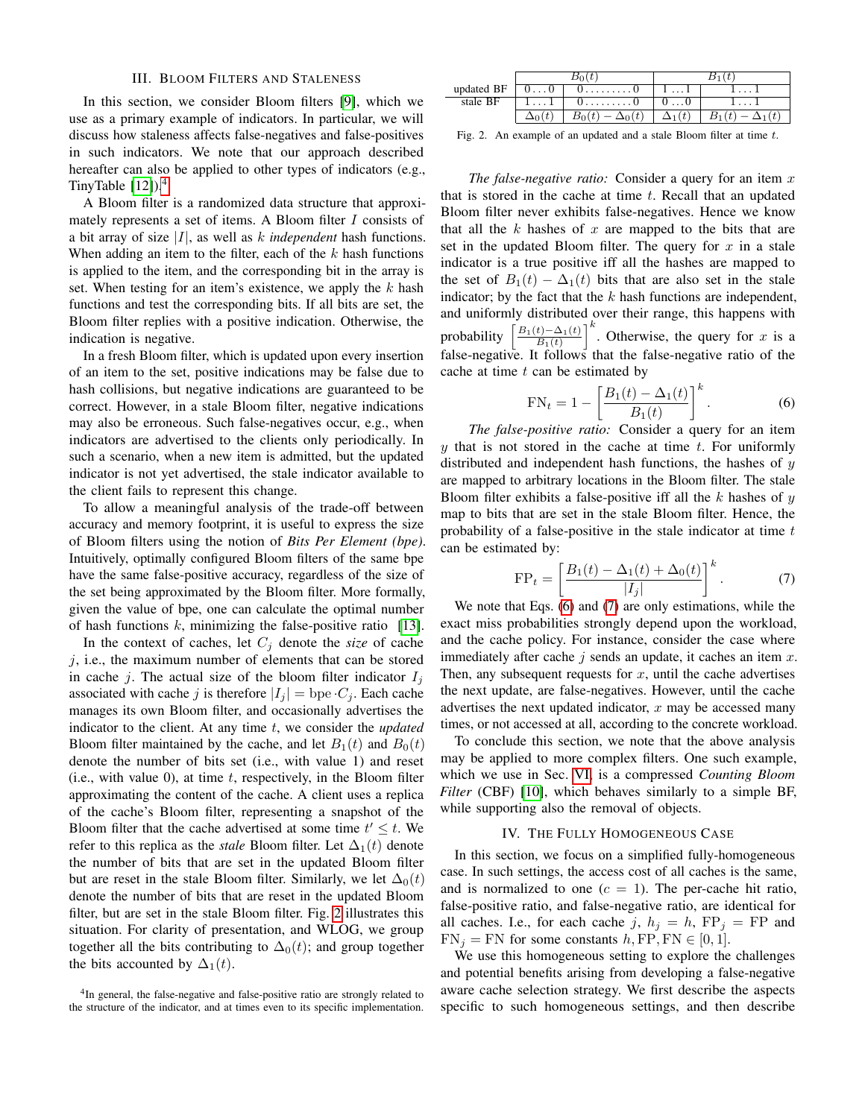# III. BLOOM FILTERS AND STALENESS

<span id="page-4-0"></span>In this section, we consider Bloom filters [\[9\]](#page-11-8), which we use as a primary example of indicators. In particular, we will discuss how staleness affects false-negatives and false-positives in such indicators. We note that our approach described hereafter can also be applied to other types of indicators (e.g., TinyTable  $[12]$ ).<sup>[4](#page-4-2)</sup>

A Bloom filter is a randomized data structure that approximately represents a set of items. A Bloom filter I consists of a bit array of size |I|, as well as k *independent* hash functions. When adding an item to the filter, each of the  $k$  hash functions is applied to the item, and the corresponding bit in the array is set. When testing for an item's existence, we apply the  $k$  hash functions and test the corresponding bits. If all bits are set, the Bloom filter replies with a positive indication. Otherwise, the indication is negative.

In a fresh Bloom filter, which is updated upon every insertion of an item to the set, positive indications may be false due to hash collisions, but negative indications are guaranteed to be correct. However, in a stale Bloom filter, negative indications may also be erroneous. Such false-negatives occur, e.g., when indicators are advertised to the clients only periodically. In such a scenario, when a new item is admitted, but the updated indicator is not yet advertised, the stale indicator available to the client fails to represent this change.

To allow a meaningful analysis of the trade-off between accuracy and memory footprint, it is useful to express the size of Bloom filters using the notion of *Bits Per Element (bpe)*. Intuitively, optimally configured Bloom filters of the same bpe have the same false-positive accuracy, regardless of the size of the set being approximated by the Bloom filter. More formally, given the value of bpe, one can calculate the optimal number of hash functions  $k$ , minimizing the false-positive ratio [\[13\]](#page-11-11).

In the context of caches, let  $C_j$  denote the *size* of cache  $j$ , i.e., the maximum number of elements that can be stored in cache j. The actual size of the bloom filter indicator  $I_i$ associated with cache j is therefore  $|I_i| =$  bpe  $C_i$ . Each cache manages its own Bloom filter, and occasionally advertises the indicator to the client. At any time t, we consider the *updated* Bloom filter maintained by the cache, and let  $B_1(t)$  and  $B_0(t)$ denote the number of bits set (i.e., with value 1) and reset (i.e., with value 0), at time  $t$ , respectively, in the Bloom filter approximating the content of the cache. A client uses a replica of the cache's Bloom filter, representing a snapshot of the Bloom filter that the cache advertised at some time  $t' \leq t$ . We refer to this replica as the *stale* Bloom filter. Let  $\Delta_1(t)$  denote the number of bits that are set in the updated Bloom filter but are reset in the stale Bloom filter. Similarly, we let  $\Delta_0(t)$ denote the number of bits that are reset in the updated Bloom filter, but are set in the stale Bloom filter. Fig. [2](#page-4-3) illustrates this situation. For clarity of presentation, and WLOG, we group together all the bits contributing to  $\Delta_0(t)$ ; and group together the bits accounted by  $\Delta_1(t)$ .

| updated BF | $0 \ldots 0$ | <u>vU</u>         | 11            |  |
|------------|--------------|-------------------|---------------|--|
| stale BF   | 11           | 0. 0              |               |  |
|            |              | $\Delta_0(\iota)$ | $\Delta_1(t)$ |  |

<span id="page-4-3"></span>Fig. 2. An example of an updated and a stale Bloom filter at time t.

*The false-negative ratio:* Consider a query for an item x that is stored in the cache at time  $t$ . Recall that an updated Bloom filter never exhibits false-negatives. Hence we know that all the  $k$  hashes of  $x$  are mapped to the bits that are set in the updated Bloom filter. The query for  $x$  in a stale indicator is a true positive iff all the hashes are mapped to the set of  $B_1(t) - \Delta_1(t)$  bits that are also set in the stale indicator; by the fact that the  $k$  hash functions are independent, and uniformly distributed over their range, this happens with probability  $B_1(t)-\Delta_1(t)$  $\left[\frac{t\right)-\Delta_1(t)}{B_1(t)}\right]^k$ . Otherwise, the query for x is a false-negative. It follows that the false-negative ratio of the cache at time  $t$  can be estimated by

<span id="page-4-4"></span>
$$
FN_t = 1 - \left[\frac{B_1(t) - \Delta_1(t)}{B_1(t)}\right]^k.
$$
 (6)

*The false-positive ratio:* Consider a query for an item y that is not stored in the cache at time  $t$ . For uniformly distributed and independent hash functions, the hashes of  $y$ are mapped to arbitrary locations in the Bloom filter. The stale Bloom filter exhibits a false-positive iff all the  $k$  hashes of  $y$ map to bits that are set in the stale Bloom filter. Hence, the probability of a false-positive in the stale indicator at time  $t$ can be estimated by:

<span id="page-4-5"></span>
$$
FP_{t} = \left[\frac{B_{1}(t) - \Delta_{1}(t) + \Delta_{0}(t)}{|I_{j}|}\right]^{k}.
$$
 (7)

We note that Eqs. [\(6\)](#page-4-4) and [\(7\)](#page-4-5) are only estimations, while the exact miss probabilities strongly depend upon the workload, and the cache policy. For instance, consider the case where immediately after cache  $j$  sends an update, it caches an item  $x$ . Then, any subsequent requests for  $x$ , until the cache advertises the next update, are false-negatives. However, until the cache advertises the next updated indicator,  $x$  may be accessed many times, or not accessed at all, according to the concrete workload.

To conclude this section, we note that the above analysis may be applied to more complex filters. One such example, which we use in Sec. [VI,](#page-7-0) is a compressed *Counting Bloom Filter* (CBF) [\[10\]](#page-11-13), which behaves similarly to a simple BF, while supporting also the removal of objects.

#### IV. THE FULLY HOMOGENEOUS CASE

<span id="page-4-1"></span>In this section, we focus on a simplified fully-homogeneous case. In such settings, the access cost of all caches is the same, and is normalized to one  $(c = 1)$ . The per-cache hit ratio, false-positive ratio, and false-negative ratio, are identical for all caches. I.e., for each cache j,  $h_j = h$ ,  $FP_j = FP$  and  $FN_i = FN$  for some constants  $h, FP, FN \in [0, 1].$ 

We use this homogeneous setting to explore the challenges and potential benefits arising from developing a false-negative aware cache selection strategy. We first describe the aspects specific to such homogeneous settings, and then describe

<span id="page-4-2"></span><sup>&</sup>lt;sup>4</sup>In general, the false-negative and false-positive ratio are strongly related to the structure of the indicator, and at times even to its specific implementation.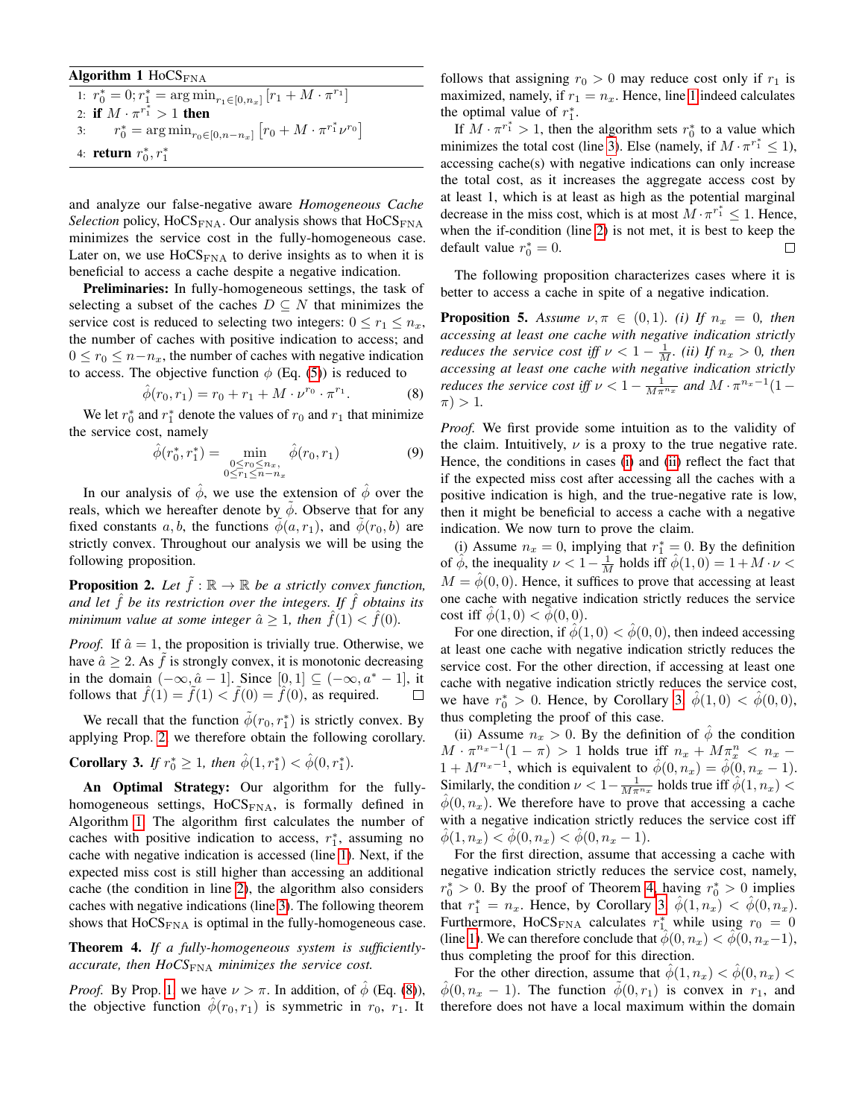# <span id="page-5-3"></span>Algorithm 1  $H_0CS_{\text{FNA}}$ 1:  $r_0^* = 0; r_1^* = \arg\min_{r_1 \in [0, n_x]} [r_1 + M \cdot \pi^{r_1}]$ 2: if  $M \cdot \pi^{r_1^*} > 1$  then

3:  $r_0^* = \arg \min_{r_0 \in [0, n-n_x]} [r_0 + M \cdot \pi^{r_1^*} \nu^{r_0}]$ 4: **return**  $r_0^*, r_1^*$ 

and analyze our false-negative aware *Homogeneous Cache Selection* policy,  $H_0CS_{\text{FNA}}$ . Our analysis shows that  $H_0CS_{\text{FNA}}$ minimizes the service cost in the fully-homogeneous case. Later on, we use  $H_0$ , we use  $H_0$ , we see the derive insights as to when it is beneficial to access a cache despite a negative indication.

Preliminaries: In fully-homogeneous settings, the task of selecting a subset of the caches  $D \subseteq N$  that minimizes the service cost is reduced to selecting two integers:  $0 \le r_1 \le n_x$ , the number of caches with positive indication to access; and  $0 \le r_0 \le n - n_x$ , the number of caches with negative indication to access. The objective function  $\phi$  (Eq. [\(5\)](#page-3-0)) is reduced to

<span id="page-5-0"></span>
$$
\hat{\phi}(r_0, r_1) = r_0 + r_1 + M \cdot \nu^{r_0} \cdot \pi^{r_1}.
$$
 (8)

We let  $r_0^*$  and  $r_1^*$  denote the values of  $r_0$  and  $r_1$  that minimize the service cost, namely

<span id="page-5-1"></span>
$$
\hat{\phi}(r_0^*, r_1^*) = \min_{\substack{0 \le r_0 \le n_x, \\ 0 \le r_1 \le n - n_x}} \hat{\phi}(r_0, r_1)
$$
\n(9)

In our analysis of  $\hat{\phi}$ , we use the extension of  $\hat{\phi}$  over the reals, which we hereafter denote by  $\phi$ . Observe that for any fixed constants a, b, the functions  $\phi(a, r_1)$ , and  $\phi(r_0, b)$  are strictly convex. Throughout our analysis we will be using the following proposition.

<span id="page-5-2"></span>**Proposition 2.** Let  $\hat{f}$  :  $\mathbb{R} \to \mathbb{R}$  be a strictly convex function, *and let*  $\hat{f}$  *be its restriction over the integers. If*  $\hat{f}$  *obtains its minimum value at some integer*  $\hat{a} \geq 1$ *, then*  $\hat{f}(1) < \hat{f}(0)$ *.* 

*Proof.* If  $\hat{a} = 1$ , the proposition is trivially true. Otherwise, we have  $\hat{a} \geq 2$ . As  $\tilde{f}$  is strongly convex, it is monotonic decreasing in the domain  $(-\infty, \hat{a}-1]$ . Since  $[0, 1] \subseteq (-\infty, a^* - 1]$ , it follows that  $\ddot{f}(1) = f(1) < f(0) = \ddot{f}(0)$ , as required.  $\Box$ 

We recall that the function  $\tilde{\phi}(r_0, r_1^*)$  is strictly convex. By applying Prop. [2,](#page-5-2) we therefore obtain the following corollary.

<span id="page-5-6"></span>**Corollary 3.** *If*  $r_0^* \geq 1$ *, then*  $\hat{\phi}(1, r_1^*) < \hat{\phi}(0, r_1^*)$ *.* 

An Optimal Strategy: Our algorithm for the fullyhomogeneous settings,  $H_0CS<sub>FNA</sub>$ , is formally defined in Algorithm [1.](#page-5-3) The algorithm first calculates the number of caches with positive indication to access,  $r_1^*$ , assuming no cache with negative indication is accessed (line [1\)](#page-5-3). Next, if the expected miss cost is still higher than accessing an additional cache (the condition in line [2\)](#page-5-3), the algorithm also considers caches with negative indications (line [3\)](#page-5-3). The following theorem shows that  $HocS<sub>FNA</sub>$  is optimal in the fully-homogeneous case.

<span id="page-5-7"></span>Theorem 4. *If a fully-homogeneous system is sufficientlyaccurate, then HoCS*<sub>FNA</sub> *minimizes the service cost.* 

*Proof.* By Prop. [1,](#page-3-4) we have  $\nu > \pi$ . In addition, of  $\phi$  (Eq. [\(8\)](#page-5-0)), the objective function  $\hat{\phi}(r_0, r_1)$  is symmetric in  $r_0$ ,  $r_1$ . It

follows that assigning  $r_0 > 0$  may reduce cost only if  $r_1$  is maximized, namely, if  $r_1 = n_x$ . Hence, line [1](#page-5-3) indeed calculates the optimal value of  $r_1^*$ .

If  $M \cdot \pi^{r_1^*} > 1$ , then the algorithm sets  $r_0^*$  to a value which minimizes the total cost (line [3\)](#page-5-3). Else (namely, if  $M \cdot \pi^{r_1^*} \leq 1$ ), accessing cache(s) with negative indications can only increase the total cost, as it increases the aggregate access cost by at least 1, which is at least as high as the potential marginal decrease in the miss cost, which is at most  $M \cdot \pi^{r_1^*} \leq 1$ . Hence, when the if-condition (line [2\)](#page-5-3) is not met, it is best to keep the default value  $r_0^* = 0$ .  $\Box$ 

The following proposition characterizes cases where it is better to access a cache in spite of a negative indication.

<span id="page-5-5"></span><span id="page-5-4"></span>**Proposition 5.** Assume  $\nu, \pi \in (0, 1)$ *. (i)* If  $n_x = 0$ *, then accessing at least one cache with negative indication strictly reduces the service cost iff*  $\nu < 1 - \frac{1}{M}$ *. (ii)* If  $n_x > 0$ *, then accessing at least one cache with negative indication strictly reduces the service cost iff*  $\nu < 1 - \frac{1}{M \pi^{n_x}}$  and  $M \cdot \pi^{n_x-1} (1 (\pi) > 1.$ 

*Proof.* We first provide some intuition as to the validity of the claim. Intuitively,  $\nu$  is a proxy to the true negative rate. Hence, the conditions in cases [\(i\)](#page-5-4) and [\(ii\)](#page-5-5) reflect the fact that if the expected miss cost after accessing all the caches with a positive indication is high, and the true-negative rate is low, then it might be beneficial to access a cache with a negative indication. We now turn to prove the claim.

(i) Assume  $n_x = 0$ , implying that  $r_1^* = 0$ . By the definition of  $\hat{\phi}$ , the inequality  $\nu < 1 - \frac{1}{M}$  holds iff  $\hat{\phi}(1,0) = 1 + M \cdot \nu <$  $M = \phi(0, 0)$ . Hence, it suffices to prove that accessing at least one cache with negative indication strictly reduces the service cost iff  $\phi(1, 0) < \phi(0, 0)$ .

For one direction, if  $\phi(1,0) < \phi(0,0)$ , then indeed accessing at least one cache with negative indication strictly reduces the service cost. For the other direction, if accessing at least one cache with negative indication strictly reduces the service cost, we have  $r_0^* > 0$ . Hence, by Corollary [3,](#page-5-6)  $\hat{\phi}(1,0) < \hat{\phi}(0,0)$ , thus completing the proof of this case.

(ii) Assume  $n_x > 0$ . By the definition of  $\phi$  the condition  $M \cdot \pi^{n_x-1}(1-\pi) > 1$  holds true iff  $n_x + M\pi_x^n < n_x$  $1 + M^{n_x-1}$ , which is equivalent to  $\hat{\phi}(0, n_x) = \hat{\phi}(0, n_x - 1)$ . Similarly, the condition  $\nu < 1 - \frac{1}{M \pi^{n_x}}$  holds true iff  $\hat{\phi}(1, n_x)$  $\phi(0, n_x)$ . We therefore have to prove that accessing a cache with a negative indication strictly reduces the service cost iff  $\phi(1, n_x) < \phi(0, n_x) < \phi(0, n_x - 1).$ 

For the first direction, assume that accessing a cache with negative indication strictly reduces the service cost, namely,  $r_0^* > 0$ . By the proof of Theorem [4,](#page-5-7) having  $r_0^* > 0$  implies that  $r_1^* = n_x$ . Hence, by Corollary [3,](#page-5-6)  $\hat{\phi}(1, n_x) < \hat{\phi}(0, n_x)$ . Furthermore, HoCS<sub>FNA</sub> calculates  $r_{1}^*$  while using  $r_0 = 0$ (line [1\)](#page-5-3). We can therefore conclude that  $\phi(0, n_x) < \phi(0, n_x-1)$ , thus completing the proof for this direction.

For the other direction, assume that  $\hat{\phi}(1, n_x) < \hat{\phi}(0, n_x)$  $\hat{\phi}(0, n_x - 1)$ . The function  $\hat{\phi}(0, r_1)$  is convex in  $r_1$ , and therefore does not have a local maximum within the domain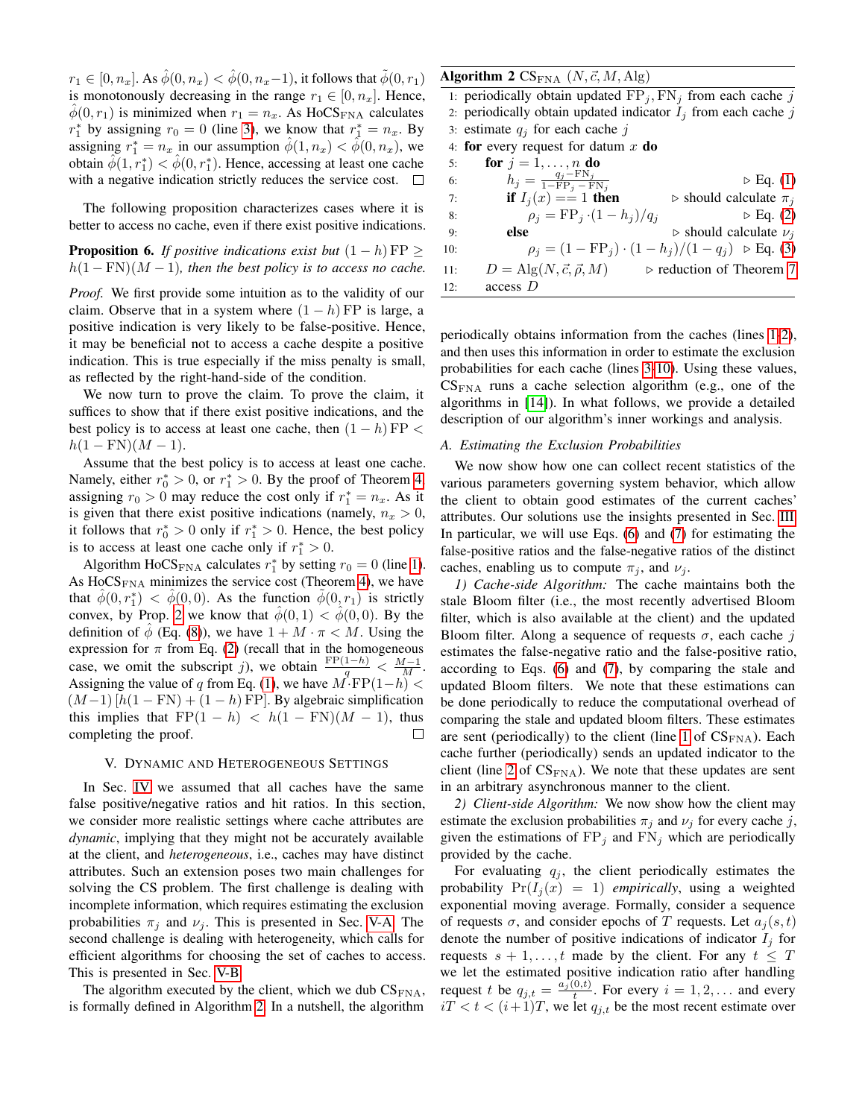$r_1 \in [0, n_x]$ . As  $\hat{\phi}(0, n_x) < \hat{\phi}(0, n_x-1)$ , it follows that  $\tilde{\phi}(0, n_1)$ is monotonously decreasing in the range  $r_1 \in [0, n_x]$ . Hence,  $\phi(0, r_1)$  is minimized when  $r_1 = n_x$ . As HoCS<sub>FNA</sub> calculates  $r_1^*$  by assigning  $r_0 = 0$  (line [3\)](#page-5-3), we know that  $r_1^* = n_x$ . By assigning  $r_1^* = n_x$  in our assumption  $\hat{\phi}(1, n_x) < \hat{\phi}(0, n_x)$ , we obtain  $\hat{\phi}(1,r_1^*) < \hat{\phi}(0,r_1^*)$ . Hence, accessing at least one cache with a negative indication strictly reduces the service cost.  $\Box$ 

The following proposition characterizes cases where it is better to access no cache, even if there exist positive indications.

**Proposition 6.** *If positive indications exist but*  $(1 - h) FP \ge$  $h(1 - FN)(M - 1)$ , then the best policy is to access no cache.

*Proof.* We first provide some intuition as to the validity of our claim. Observe that in a system where  $(1 - h)$  FP is large, a positive indication is very likely to be false-positive. Hence, it may be beneficial not to access a cache despite a positive indication. This is true especially if the miss penalty is small, as reflected by the right-hand-side of the condition.

We now turn to prove the claim. To prove the claim, it suffices to show that if there exist positive indications, and the best policy is to access at least one cache, then  $(1 - h)$  FP <  $h(1 - FN)(M - 1).$ 

Assume that the best policy is to access at least one cache. Namely, either  $r_0^* > 0$ , or  $r_1^* > 0$ . By the proof of Theorem [4,](#page-5-7) assigning  $r_0 > 0$  may reduce the cost only if  $r_1^* = n_x$ . As it is given that there exist positive indications (namely,  $n_x > 0$ , it follows that  $r_0^* > 0$  only if  $r_1^* > 0$ . Hence, the best policy is to access at least one cache only if  $r_1^* > 0$ .

Algorithm HoCS<sub>FNA</sub> calculates  $r_1^*$  by setting  $r_0 = 0$  (line [1\)](#page-5-3). As  $H_0CS_{\text{FNA}}$  minimizes the service cost (Theorem [4\)](#page-5-7), we have that  $\hat{\phi}(0, r_1^*) < \hat{\phi}(0, 0)$ . As the function  $\tilde{\phi}(0, r_1)$  is strictly convex, by Prop. [2](#page-5-2) we know that  $\hat{\phi}(0,1) < \hat{\phi}(0,0)$ . By the definition of  $\hat{\phi}$  (Eq. [\(8\)](#page-5-0)), we have  $1 + M \cdot \pi < M$ . Using the expression for  $\pi$  from Eq. [\(2\)](#page-3-5) (recall that in the homogeneous case, we omit the subscript j), we obtain  $\frac{FP(1-h)}{q} < \frac{M-1}{M}$ . Assigning the value of q from Eq. [\(1\)](#page-3-2), we have  $M^2 \text{FP}(1-h) <$  $(M-1)$  [h(1 – FN) + (1 – h) FP]. By algebraic simplification this implies that  $FP(1 - h) < h(1 - FN)(M - 1)$ , thus completing the proof.  $\Box$ 

# V. DYNAMIC AND HETEROGENEOUS SETTINGS

<span id="page-6-0"></span>In Sec. [IV](#page-4-1) we assumed that all caches have the same false positive/negative ratios and hit ratios. In this section, we consider more realistic settings where cache attributes are *dynamic*, implying that they might not be accurately available at the client, and *heterogeneous*, i.e., caches may have distinct attributes. Such an extension poses two main challenges for solving the CS problem. The first challenge is dealing with incomplete information, which requires estimating the exclusion probabilities  $\pi_j$  and  $\nu_j$ . This is presented in Sec. [V-A.](#page-6-3) The second challenge is dealing with heterogeneity, which calls for efficient algorithms for choosing the set of caches to access. This is presented in Sec. [V-B.](#page-7-2)

The algorithm executed by the client, which we dub  $CS_{\text{FNA}}$ , is formally defined in Algorithm [2.](#page-6-4) In a nutshell, the algorithm

# <span id="page-6-4"></span>Algorithm 2  $CS_{\text{FNA}} (N, \vec{c}, M, \text{Alg})$

| 1: periodically obtain updated $FPi, FNi$ from each cache j      |                                                                 |
|------------------------------------------------------------------|-----------------------------------------------------------------|
| 2: periodically obtain updated indicator $I_i$ from each cache j |                                                                 |
| 3: estimate $q_i$ for each cache j                               |                                                                 |
| 4: for every request for datum x do                              |                                                                 |
| for $j = 1, \ldots, n$ do<br>5:                                  |                                                                 |
|                                                                  | $\triangleright$ Eq. (1)                                        |
|                                                                  | $h_j = \frac{q_j - \text{FN}_j}{1 - \text{FP}_j - \text{FN}_j}$ |

|     | $I - F P_i - F N_i$                  |                                                                                   |
|-----|--------------------------------------|-----------------------------------------------------------------------------------|
| 7:  | if $I_i(x) == 1$ then                | $\triangleright$ should calculate $\pi_i$                                         |
| 8:  | $\rho_i = FP_j \cdot (1-h_i)/q_i$    | $\triangleright$ Eq. (2)                                                          |
| 9:  | else                                 | $\triangleright$ should calculate $\nu_i$                                         |
| 10: |                                      | $\rho_j = (1 - \text{FP}_j) \cdot (1 - h_j)/(1 - q_j) \Rightarrow \text{Eq. (3)}$ |
| 11: | $D = Alg(N, \vec{c}, \vec{\rho}, M)$ | $\triangleright$ reduction of Theorem 7                                           |
| 12: | access D                             |                                                                                   |

periodically obtains information from the caches (lines [1-2\)](#page-6-4), and then uses this information in order to estimate the exclusion probabilities for each cache (lines [3-10\)](#page-6-4). Using these values,  $CS_{\text{FNA}}$  runs a cache selection algorithm (e.g., one of the algorithms in [\[14\]](#page-11-12)). In what follows, we provide a detailed description of our algorithm's inner workings and analysis.

#### <span id="page-6-3"></span>*A. Estimating the Exclusion Probabilities*

We now show how one can collect recent statistics of the various parameters governing system behavior, which allow the client to obtain good estimates of the current caches' attributes. Our solutions use the insights presented in Sec. [III.](#page-4-0) In particular, we will use Eqs. [\(6\)](#page-4-4) and [\(7\)](#page-4-5) for estimating the false-positive ratios and the false-negative ratios of the distinct caches, enabling us to compute  $\pi_i$ , and  $\nu_i$ .

<span id="page-6-1"></span>*1) Cache-side Algorithm:* The cache maintains both the stale Bloom filter (i.e., the most recently advertised Bloom filter, which is also available at the client) and the updated Bloom filter. Along a sequence of requests  $\sigma$ , each cache j estimates the false-negative ratio and the false-positive ratio, according to Eqs. [\(6\)](#page-4-4) and [\(7\)](#page-4-5), by comparing the stale and updated Bloom filters. We note that these estimations can be done periodically to reduce the computational overhead of comparing the stale and updated bloom filters. These estimates are sent (periodically) to the client (line [1](#page-6-4) of  $CS_{\text{FNA}}$ ). Each cache further (periodically) sends an updated indicator to the client (line [2](#page-6-4) of  $CS_{\text{FNA}}$ ). We note that these updates are sent in an arbitrary asynchronous manner to the client.

<span id="page-6-2"></span>*2) Client-side Algorithm:* We now show how the client may estimate the exclusion probabilities  $\pi_i$  and  $\nu_i$  for every cache j, given the estimations of  $FP_j$  and  $FN_j$  which are periodically provided by the cache.

For evaluating  $q_j$ , the client periodically estimates the probability  $Pr(I_i(x) = 1)$  *empirically*, using a weighted exponential moving average. Formally, consider a sequence of requests  $\sigma$ , and consider epochs of T requests. Let  $a_i(s, t)$ denote the number of positive indications of indicator  $I_j$  for requests  $s + 1, \ldots, t$  made by the client. For any  $t \leq T$ we let the estimated positive indication ratio after handling request t be  $q_{j,t} = \frac{a_j(0,t)}{t}$ . For every  $i = 1, 2, ...$  and every  $iT < t < (i+1)T$ , we let  $q_{i,t}$  be the most recent estimate over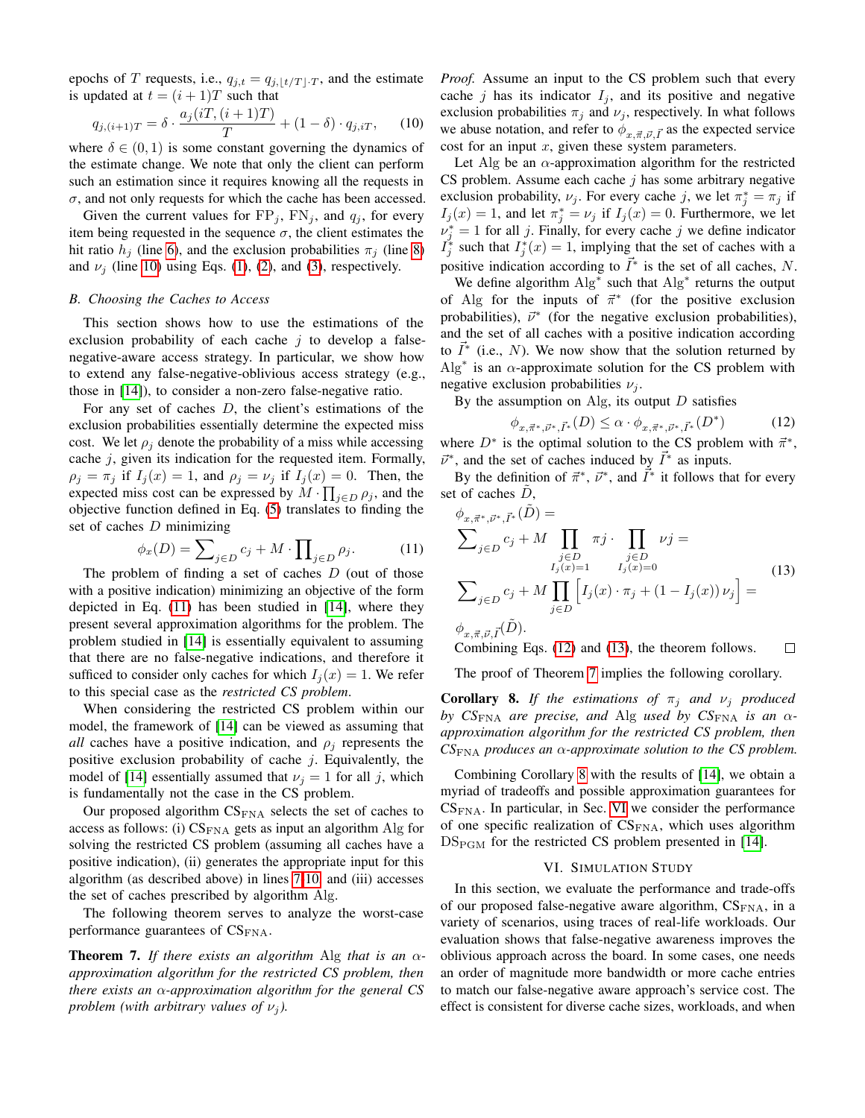epochs of T requests, i.e.,  $q_{j,t} = q_{j,1t/T}$ , and the estimate is updated at  $t = (i + 1)T$  such that

$$
q_{j,(i+1)T} = \delta \cdot \frac{a_j(iT,(i+1)T)}{T} + (1-\delta) \cdot q_{j,iT}, \quad (10)
$$

where  $\delta \in (0, 1)$  is some constant governing the dynamics of the estimate change. We note that only the client can perform such an estimation since it requires knowing all the requests in  $\sigma$ , and not only requests for which the cache has been accessed.

Given the current values for  $FP_j$ ,  $FN_j$ , and  $q_j$ , for every item being requested in the sequence  $\sigma$ , the client estimates the hit ratio  $h_i$  (line [6\)](#page-6-4), and the exclusion probabilities  $\pi_i$  (line [8\)](#page-6-4) and  $\nu_j$  (line [10\)](#page-6-4) using Eqs. [\(1\)](#page-3-2), [\(2\)](#page-3-5), and [\(3\)](#page-3-6), respectively.

#### <span id="page-7-2"></span>*B. Choosing the Caches to Access*

This section shows how to use the estimations of the exclusion probability of each cache  $j$  to develop a falsenegative-aware access strategy. In particular, we show how to extend any false-negative-oblivious access strategy (e.g., those in [\[14\]](#page-11-12)), to consider a non-zero false-negative ratio.

For any set of caches D, the client's estimations of the exclusion probabilities essentially determine the expected miss cost. We let  $\rho_i$  denote the probability of a miss while accessing cache j, given its indication for the requested item. Formally,  $\rho_j = \pi_j$  if  $I_j(x) = 1$ , and  $\rho_j = \nu_j$  if  $I_j(x) = 0$ . Then, the expected miss cost can be expressed by  $M \cdot \prod_{j \in D} \rho_j$ , and the objective function defined in Eq. [\(5\)](#page-3-0) translates to finding the set of caches  $D$  minimizing

$$
\phi_x(D) = \sum_{j \in D} c_j + M \cdot \prod_{j \in D} \rho_j. \tag{11}
$$

The problem of finding a set of caches  $D$  (out of those with a positive indication) minimizing an objective of the form depicted in Eq. [\(11\)](#page-7-4) has been studied in [\[14\]](#page-11-12), where they present several approximation algorithms for the problem. The problem studied in [\[14\]](#page-11-12) is essentially equivalent to assuming that there are no false-negative indications, and therefore it sufficed to consider only caches for which  $I_i(x) = 1$ . We refer to this special case as the *restricted CS problem*.

When considering the restricted CS problem within our model, the framework of [\[14\]](#page-11-12) can be viewed as assuming that *all* caches have a positive indication, and  $\rho_i$  represents the positive exclusion probability of cache  $j$ . Equivalently, the model of [\[14\]](#page-11-12) essentially assumed that  $\nu_i = 1$  for all j, which is fundamentally not the case in the CS problem.

Our proposed algorithm  $CS_{FNA}$  selects the set of caches to access as follows: (i)  $CS_{\text{FNA}}$  gets as input an algorithm Alg for solving the restricted CS problem (assuming all caches have a positive indication), (ii) generates the appropriate input for this algorithm (as described above) in lines [7-10,](#page-6-4) and (iii) accesses the set of caches prescribed by algorithm Alg.

The following theorem serves to analyze the worst-case performance guarantees of  $CS_{\rm FNA}$ .

<span id="page-7-3"></span>Theorem 7. *If there exists an algorithm* Alg *that is an* α*approximation algorithm for the restricted CS problem, then there exists an* α*-approximation algorithm for the general CS problem (with arbitrary values of*  $\nu_i$ ).

<span id="page-7-1"></span>*Proof.* Assume an input to the CS problem such that every cache j has its indicator  $I_i$ , and its positive and negative exclusion probabilities  $\pi_j$  and  $\nu_j$ , respectively. In what follows we abuse notation, and refer to  $\phi_{x,\vec{\pi},\vec{\nu},\vec{I}}$  as the expected service cost for an input  $x$ , given these system parameters.

Let Alg be an  $\alpha$ -approximation algorithm for the restricted CS problem. Assume each cache  $j$  has some arbitrary negative exclusion probability,  $\nu_j$ . For every cache j, we let  $\pi_j^* = \pi_j$  if  $I_j(x) = 1$ , and let  $\pi_j^* = \nu_j$  if  $I_j(x) = 0$ . Furthermore, we let  $\nu_j^* = 1$  for all j. Finally, for every cache j we define indicator  $I_j^*$  such that  $I_j^*(x) = 1$ , implying that the set of caches with a positive indication according to  $\vec{I}^*$  is the set of all caches, N.

We define algorithm  $Alg^*$  such that  $Alg^*$  returns the output of Alg for the inputs of  $\vec{\pi}^*$  (for the positive exclusion probabilities),  $\vec{\nu}^*$  (for the negative exclusion probabilities), and the set of all caches with a positive indication according to  $\vec{I}^*$  (i.e., N). We now show that the solution returned by  $\text{Alg}^*$  is an  $\alpha$ -approximate solution for the CS problem with negative exclusion probabilities  $\nu_i$ .

By the assumption on Alg, its output  $D$  satisfies

<span id="page-7-5"></span>
$$
\phi_{x,\vec{\pi}^*,\vec{\nu}^*,\vec{I}^*}(D) \le \alpha \cdot \phi_{x,\vec{\pi}^*,\vec{\nu}^*,\vec{I}^*}(D^*)
$$
(12)

where  $D^*$  is the optimal solution to the CS problem with  $\vec{\pi}^*$ ,  $\vec{\nu}^*$ , and the set of caches induced by  $\vec{I}^*$  as inputs.

By the definition of  $\vec{\pi}^*, \vec{\nu}^*$ , and  $\vec{\bar{I}}^*$  it follows that for every set of caches  $D$ ,

<span id="page-7-6"></span><span id="page-7-4"></span>
$$
\phi_{x,\vec{\pi}^*,\vec{\nu}^*,\vec{I}^*}(\tilde{D}) =
$$
\n
$$
\sum_{j\in D} c_j + M \prod_{\substack{j\in D\\I_j(x)=1}} \pi j \cdot \prod_{\substack{j\in D\\I_j(x)=0}} \nu j =
$$
\n
$$
\sum_{j\in D} c_j + M \prod_{j\in D} \left[ I_j(x) \cdot \pi_j + (1 - I_j(x)) \nu_j \right] =
$$
\n
$$
\phi_{x,\vec{\pi},\vec{\nu},\vec{I}}(\tilde{D}).
$$
\n(13)

Combining Eqs. [\(12\)](#page-7-5) and [\(13\)](#page-7-6), the theorem follows. □

The proof of Theorem [7](#page-7-3) implies the following corollary.

<span id="page-7-7"></span>**Corollary 8.** *If the estimations of*  $\pi_j$  *and*  $\nu_j$  *produced by CS*<sub>FNA</sub> *are precise, and* Alg *used by CS*<sub>FNA</sub> *is an*  $\alpha$ *approximation algorithm for the restricted CS problem, then CS*FNA *produces an* α*-approximate solution to the CS problem.*

Combining Corollary [8](#page-7-7) with the results of [\[14\]](#page-11-12), we obtain a myriad of tradeoffs and possible approximation guarantees for  $CS<sub>FNA</sub>$ . In particular, in Sec. [VI](#page-7-0) we consider the performance of one specific realization of  $CS_{\text{FNA}}$ , which uses algorithm  $DS_{\text{PGM}}$  for the restricted CS problem presented in [\[14\]](#page-11-12).

# VI. SIMULATION STUDY

<span id="page-7-0"></span>In this section, we evaluate the performance and trade-offs of our proposed false-negative aware algorithm,  $CS_{FNA}$ , in a variety of scenarios, using traces of real-life workloads. Our evaluation shows that false-negative awareness improves the oblivious approach across the board. In some cases, one needs an order of magnitude more bandwidth or more cache entries to match our false-negative aware approach's service cost. The effect is consistent for diverse cache sizes, workloads, and when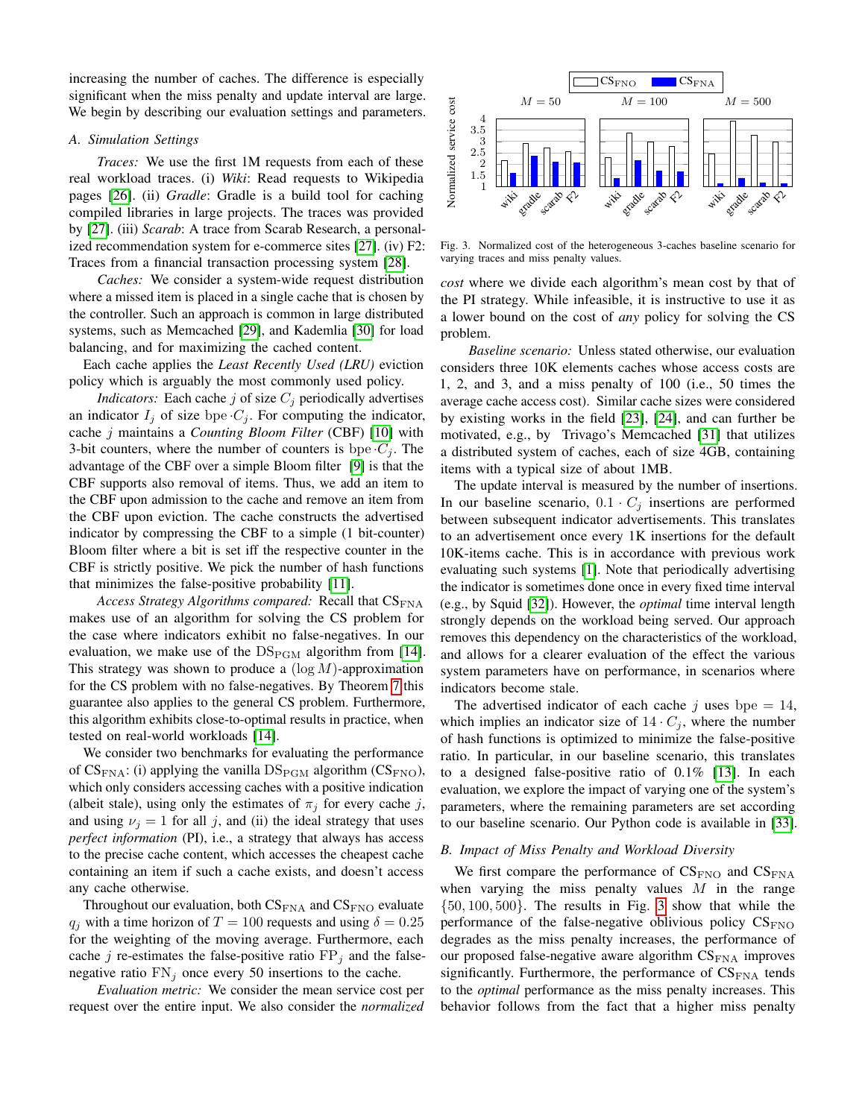increasing the number of caches. The difference is especially significant when the miss penalty and update interval are large. We begin by describing our evaluation settings and parameters.

# <span id="page-8-0"></span>*A. Simulation Settings*

*Traces:* We use the first 1M requests from each of these real workload traces. (i) *Wiki*: Read requests to Wikipedia pages [\[26\]](#page-11-25). (ii) *Gradle*: Gradle is a build tool for caching compiled libraries in large projects. The traces was provided by [\[27\]](#page-11-26). (iii) *Scarab*: A trace from Scarab Research, a personalized recommendation system for e-commerce sites [\[27\]](#page-11-26). (iv) F2: Traces from a financial transaction processing system [\[28\]](#page-11-27).

*Caches:* We consider a system-wide request distribution where a missed item is placed in a single cache that is chosen by the controller. Such an approach is common in large distributed systems, such as Memcached [\[29\]](#page-11-28), and Kademlia [\[30\]](#page-11-29) for load balancing, and for maximizing the cached content.

Each cache applies the *Least Recently Used (LRU)* eviction policy which is arguably the most commonly used policy.

*Indicators:* Each cache  $j$  of size  $C_j$  periodically advertises an indicator  $I_j$  of size bpe  $C_j$ . For computing the indicator, cache j maintains a *Counting Bloom Filter* (CBF) [\[10\]](#page-11-13) with 3-bit counters, where the number of counters is bpe  $C_i$ . The advantage of the CBF over a simple Bloom filter [\[9\]](#page-11-8) is that the CBF supports also removal of items. Thus, we add an item to the CBF upon admission to the cache and remove an item from the CBF upon eviction. The cache constructs the advertised indicator by compressing the CBF to a simple (1 bit-counter) Bloom filter where a bit is set iff the respective counter in the CBF is strictly positive. We pick the number of hash functions that minimizes the false-positive probability [\[11\]](#page-11-9).

Access Strategy Algorithms compared: Recall that  $CS_{\text{FNA}}$ makes use of an algorithm for solving the CS problem for the case where indicators exhibit no false-negatives. In our evaluation, we make use of the  $DS_{\text{PGM}}$  algorithm from [\[14\]](#page-11-12). This strategy was shown to produce a  $(\log M)$ -approximation for the CS problem with no false-negatives. By Theorem [7](#page-7-3) this guarantee also applies to the general CS problem. Furthermore, this algorithm exhibits close-to-optimal results in practice, when tested on real-world workloads [\[14\]](#page-11-12).

We consider two benchmarks for evaluating the performance of  $CS_{\text{FNA}}$ : (i) applying the vanilla  $DS_{\text{PGM}}$  algorithm ( $CS_{\text{FNO}}$ ), which only considers accessing caches with a positive indication (albeit stale), using only the estimates of  $\pi_j$  for every cache j, and using  $\nu_j = 1$  for all j, and (ii) the ideal strategy that uses *perfect information* (PI), i.e., a strategy that always has access to the precise cache content, which accesses the cheapest cache containing an item if such a cache exists, and doesn't access any cache otherwise.

Throughout our evaluation, both  $CS_{\rm FNA}$  and  $CS_{\rm FNO}$  evaluate  $q_i$  with a time horizon of  $T = 100$  requests and using  $\delta = 0.25$ for the weighting of the moving average. Furthermore, each cache j re-estimates the false-positive ratio  $FP<sub>j</sub>$  and the falsenegative ratio  $FN_j$  once every 50 insertions to the cache.

*Evaluation metric:* We consider the mean service cost per request over the entire input. We also consider the *normalized*



<span id="page-8-1"></span>Fig. 3. Normalized cost of the heterogeneous 3-caches baseline scenario for varying traces and miss penalty values.

*cost* where we divide each algorithm's mean cost by that of the PI strategy. While infeasible, it is instructive to use it as a lower bound on the cost of *any* policy for solving the CS problem.

*Baseline scenario:* Unless stated otherwise, our evaluation considers three 10K elements caches whose access costs are 1, 2, and 3, and a miss penalty of 100 (i.e., 50 times the average cache access cost). Similar cache sizes were considered by existing works in the field [\[23\]](#page-11-22), [\[24\]](#page-11-23), and can further be motivated, e.g., by Trivago's Memcached [\[31\]](#page-11-30) that utilizes a distributed system of caches, each of size 4GB, containing items with a typical size of about 1MB.

The update interval is measured by the number of insertions. In our baseline scenario,  $0.1 \cdot C_j$  insertions are performed between subsequent indicator advertisements. This translates to an advertisement once every 1K insertions for the default 10K-items cache. This is in accordance with previous work evaluating such systems [\[1\]](#page-11-0). Note that periodically advertising the indicator is sometimes done once in every fixed time interval (e.g., by Squid [\[32\]](#page-11-31)). However, the *optimal* time interval length strongly depends on the workload being served. Our approach removes this dependency on the characteristics of the workload, and allows for a clearer evaluation of the effect the various system parameters have on performance, in scenarios where indicators become stale.

The advertised indicator of each cache j uses bpe = 14, which implies an indicator size of  $14 \cdot C_i$ , where the number of hash functions is optimized to minimize the false-positive ratio. In particular, in our baseline scenario, this translates to a designed false-positive ratio of 0.1% [\[13\]](#page-11-11). In each evaluation, we explore the impact of varying one of the system's parameters, where the remaining parameters are set according to our baseline scenario. Our Python code is available in [\[33\]](#page-11-32).

# *B. Impact of Miss Penalty and Workload Diversity*

We first compare the performance of  $CS_{\text{FNO}}$  and  $CS_{\text{FNA}}$ when varying the miss penalty values  $M$  in the range  $\{50, 100, 500\}$ . The results in Fig. [3](#page-8-1) show that while the performance of the false-negative oblivious policy  $CS_{FNO}$ degrades as the miss penalty increases, the performance of our proposed false-negative aware algorithm  $CS_{FNA}$  improves significantly. Furthermore, the performance of  $CS_{\text{FNA}}$  tends to the *optimal* performance as the miss penalty increases. This behavior follows from the fact that a higher miss penalty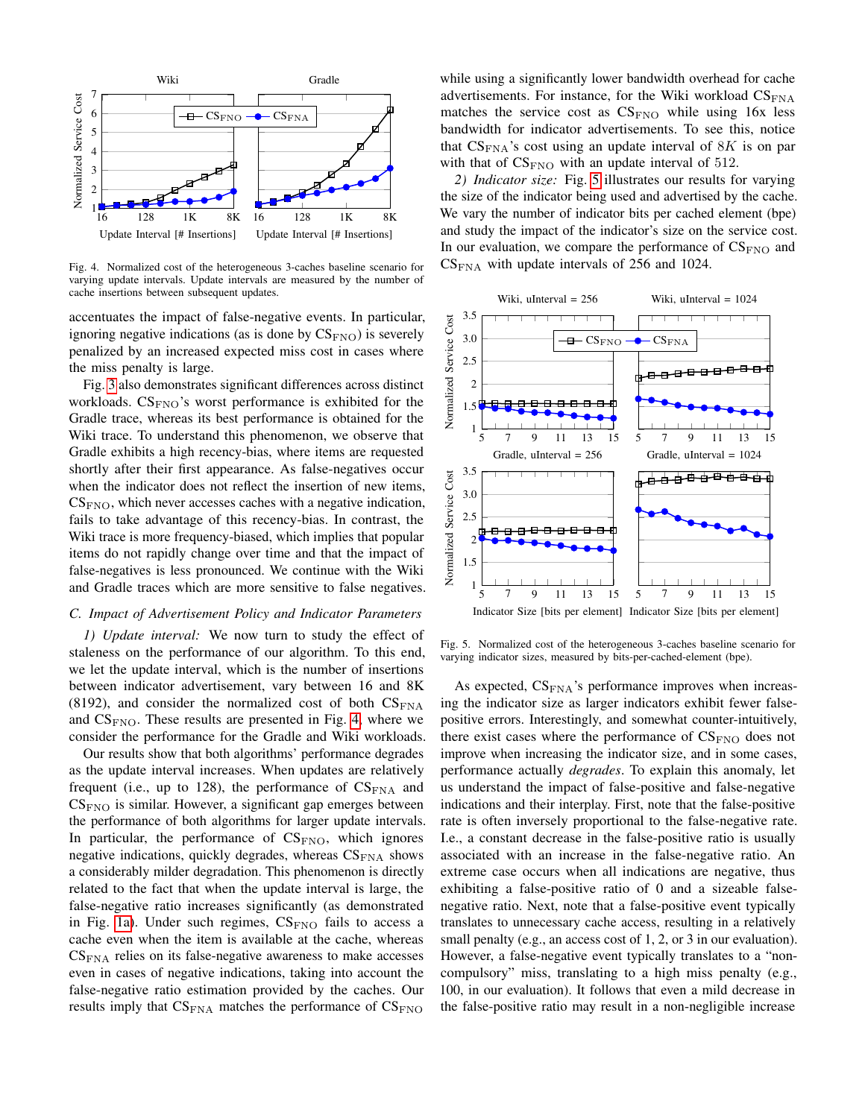

<span id="page-9-1"></span>Fig. 4. Normalized cost of the heterogeneous 3-caches baseline scenario for varying update intervals. Update intervals are measured by the number of cache insertions between subsequent updates.

accentuates the impact of false-negative events. In particular, ignoring negative indications (as is done by  $CS_{\text{FNO}}$ ) is severely penalized by an increased expected miss cost in cases where the miss penalty is large.

Fig. [3](#page-8-1) also demonstrates significant differences across distinct workloads.  $CS_{FNO}$ 's worst performance is exhibited for the Gradle trace, whereas its best performance is obtained for the Wiki trace. To understand this phenomenon, we observe that Gradle exhibits a high recency-bias, where items are requested shortly after their first appearance. As false-negatives occur when the indicator does not reflect the insertion of new items,  $CS<sub>FNO</sub>$ , which never accesses caches with a negative indication, fails to take advantage of this recency-bias. In contrast, the Wiki trace is more frequency-biased, which implies that popular items do not rapidly change over time and that the impact of false-negatives is less pronounced. We continue with the Wiki and Gradle traces which are more sensitive to false negatives.

#### <span id="page-9-0"></span>*C. Impact of Advertisement Policy and Indicator Parameters*

*1) Update interval:* We now turn to study the effect of staleness on the performance of our algorithm. To this end, we let the update interval, which is the number of insertions between indicator advertisement, vary between 16 and 8K (8192), and consider the normalized cost of both  $CS_{FNA}$ and  $CS<sub>FNO</sub>$ . These results are presented in Fig. [4,](#page-9-1) where we consider the performance for the Gradle and Wiki workloads.

Our results show that both algorithms' performance degrades as the update interval increases. When updates are relatively frequent (i.e., up to 128), the performance of  $CS_{\rm FNA}$  and  $CS<sub>FNO</sub>$  is similar. However, a significant gap emerges between the performance of both algorithms for larger update intervals. In particular, the performance of  $CS<sub>FNO</sub>$ , which ignores negative indications, quickly degrades, whereas  $CS_{FNA}$  shows a considerably milder degradation. This phenomenon is directly related to the fact that when the update interval is large, the false-negative ratio increases significantly (as demonstrated in Fig. [1a\)](#page-1-0). Under such regimes,  $CS_{\text{FNO}}$  fails to access a cache even when the item is available at the cache, whereas  $CS_{FNA}$  relies on its false-negative awareness to make accesses even in cases of negative indications, taking into account the false-negative ratio estimation provided by the caches. Our results imply that  $CS_{\text{FNA}}$  matches the performance of  $CS_{\text{FNO}}$ 

while using a significantly lower bandwidth overhead for cache advertisements. For instance, for the Wiki workload  $CS_{FNA}$ matches the service cost as  $CS_{\text{FNO}}$  while using 16x less bandwidth for indicator advertisements. To see this, notice that  $CS_{\text{FNA}}$ 's cost using an update interval of  $8K$  is on par with that of  $CS_{\text{FNO}}$  with an update interval of 512.

*2) Indicator size:* Fig. [5](#page-9-2) illustrates our results for varying the size of the indicator being used and advertised by the cache. We vary the number of indicator bits per cached element (bpe) and study the impact of the indicator's size on the service cost. In our evaluation, we compare the performance of  $CS_{FNO}$  and  $CS<sub>FNA</sub>$  with update intervals of 256 and 1024.



<span id="page-9-2"></span>Fig. 5. Normalized cost of the heterogeneous 3-caches baseline scenario for varying indicator sizes, measured by bits-per-cached-element (bpe).

As expected,  $CS_{FNA}$ 's performance improves when increasing the indicator size as larger indicators exhibit fewer falsepositive errors. Interestingly, and somewhat counter-intuitively, there exist cases where the performance of  $CS_{\text{FNO}}$  does not improve when increasing the indicator size, and in some cases, performance actually *degrades*. To explain this anomaly, let us understand the impact of false-positive and false-negative indications and their interplay. First, note that the false-positive rate is often inversely proportional to the false-negative rate. I.e., a constant decrease in the false-positive ratio is usually associated with an increase in the false-negative ratio. An extreme case occurs when all indications are negative, thus exhibiting a false-positive ratio of 0 and a sizeable falsenegative ratio. Next, note that a false-positive event typically translates to unnecessary cache access, resulting in a relatively small penalty (e.g., an access cost of 1, 2, or 3 in our evaluation). However, a false-negative event typically translates to a "noncompulsory" miss, translating to a high miss penalty (e.g., 100, in our evaluation). It follows that even a mild decrease in the false-positive ratio may result in a non-negligible increase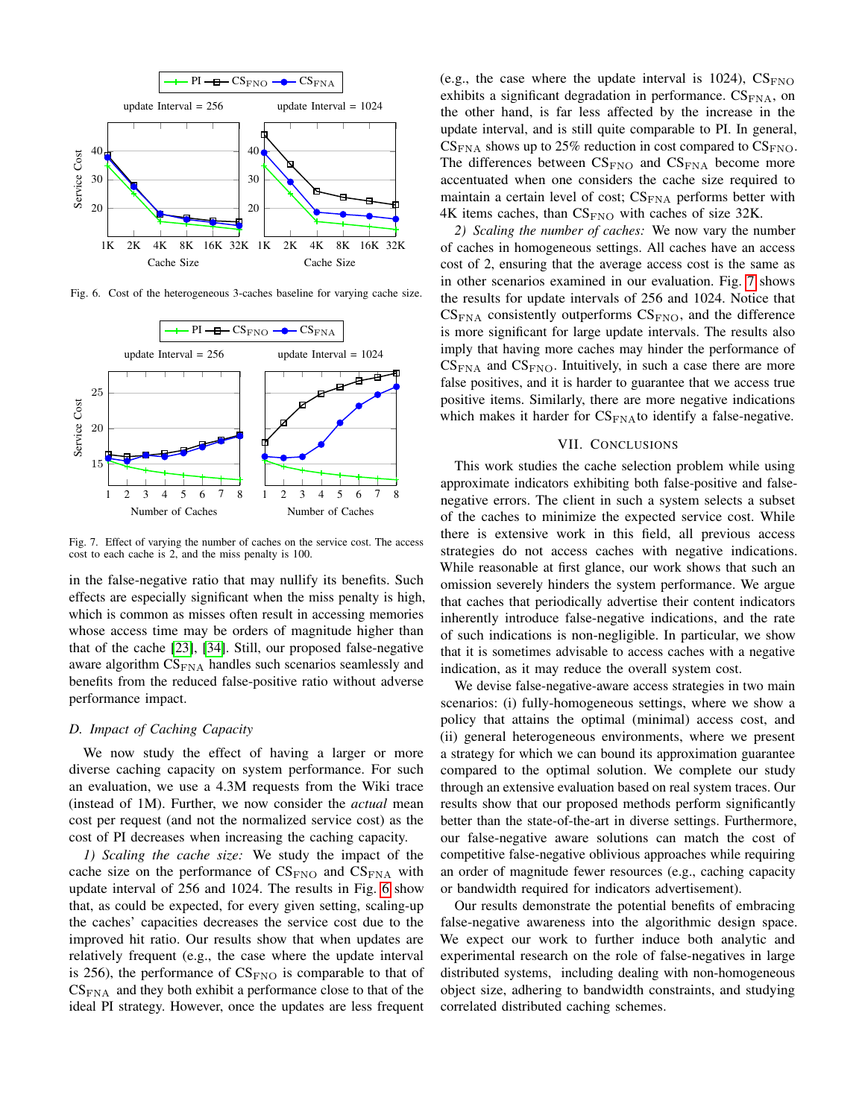

<span id="page-10-0"></span>Fig. 6. Cost of the heterogeneous 3-caches baseline for varying cache size.



<span id="page-10-1"></span>Fig. 7. Effect of varying the number of caches on the service cost. The access cost to each cache is 2, and the miss penalty is 100.

in the false-negative ratio that may nullify its benefits. Such effects are especially significant when the miss penalty is high, which is common as misses often result in accessing memories whose access time may be orders of magnitude higher than that of the cache [\[23\]](#page-11-22), [\[34\]](#page-11-33). Still, our proposed false-negative aware algorithm  $CS_{FNA}$  handles such scenarios seamlessly and benefits from the reduced false-positive ratio without adverse performance impact.

# *D. Impact of Caching Capacity*

We now study the effect of having a larger or more diverse caching capacity on system performance. For such an evaluation, we use a 4.3M requests from the Wiki trace (instead of 1M). Further, we now consider the *actual* mean cost per request (and not the normalized service cost) as the cost of PI decreases when increasing the caching capacity.

*1) Scaling the cache size:* We study the impact of the cache size on the performance of  $CS_{\text{FNO}}$  and  $CS_{\text{FNA}}$  with update interval of 256 and 1024. The results in Fig. [6](#page-10-0) show that, as could be expected, for every given setting, scaling-up the caches' capacities decreases the service cost due to the improved hit ratio. Our results show that when updates are relatively frequent (e.g., the case where the update interval is 256), the performance of  $CS_{\text{FNO}}$  is comparable to that of  $CS_{\text{FNA}}$  and they both exhibit a performance close to that of the ideal PI strategy. However, once the updates are less frequent

(e.g., the case where the update interval is 1024),  $CS_{\text{FNO}}$ exhibits a significant degradation in performance.  $CS_{FNA}$ , on the other hand, is far less affected by the increase in the update interval, and is still quite comparable to PI. In general,  $CS_{\text{FNA}}$  shows up to 25% reduction in cost compared to  $CS_{\text{FNO}}$ . The differences between  $CS_{\text{FNO}}$  and  $CS_{\text{FNA}}$  become more accentuated when one considers the cache size required to maintain a certain level of cost;  $CS_{FNA}$  performs better with  $4K$  items caches, than  $CS_{\text{FNO}}$  with caches of size 32K.

*2) Scaling the number of caches:* We now vary the number of caches in homogeneous settings. All caches have an access cost of 2, ensuring that the average access cost is the same as in other scenarios examined in our evaluation. Fig. [7](#page-10-1) shows the results for update intervals of 256 and 1024. Notice that  $CS_{\text{FNA}}$  consistently outperforms  $CS_{\text{FNO}}$ , and the difference is more significant for large update intervals. The results also imply that having more caches may hinder the performance of  $CS_{\text{FNA}}$  and  $CS_{\text{FNO}}$ . Intuitively, in such a case there are more false positives, and it is harder to guarantee that we access true positive items. Similarly, there are more negative indications which makes it harder for  $CS_{\text{FNA}}$  to identify a false-negative.

# VII. CONCLUSIONS

This work studies the cache selection problem while using approximate indicators exhibiting both false-positive and falsenegative errors. The client in such a system selects a subset of the caches to minimize the expected service cost. While there is extensive work in this field, all previous access strategies do not access caches with negative indications. While reasonable at first glance, our work shows that such an omission severely hinders the system performance. We argue that caches that periodically advertise their content indicators inherently introduce false-negative indications, and the rate of such indications is non-negligible. In particular, we show that it is sometimes advisable to access caches with a negative indication, as it may reduce the overall system cost.

We devise false-negative-aware access strategies in two main scenarios: (i) fully-homogeneous settings, where we show a policy that attains the optimal (minimal) access cost, and (ii) general heterogeneous environments, where we present a strategy for which we can bound its approximation guarantee compared to the optimal solution. We complete our study through an extensive evaluation based on real system traces. Our results show that our proposed methods perform significantly better than the state-of-the-art in diverse settings. Furthermore, our false-negative aware solutions can match the cost of competitive false-negative oblivious approaches while requiring an order of magnitude fewer resources (e.g., caching capacity or bandwidth required for indicators advertisement).

Our results demonstrate the potential benefits of embracing false-negative awareness into the algorithmic design space. We expect our work to further induce both analytic and experimental research on the role of false-negatives in large distributed systems, including dealing with non-homogeneous object size, adhering to bandwidth constraints, and studying correlated distributed caching schemes.